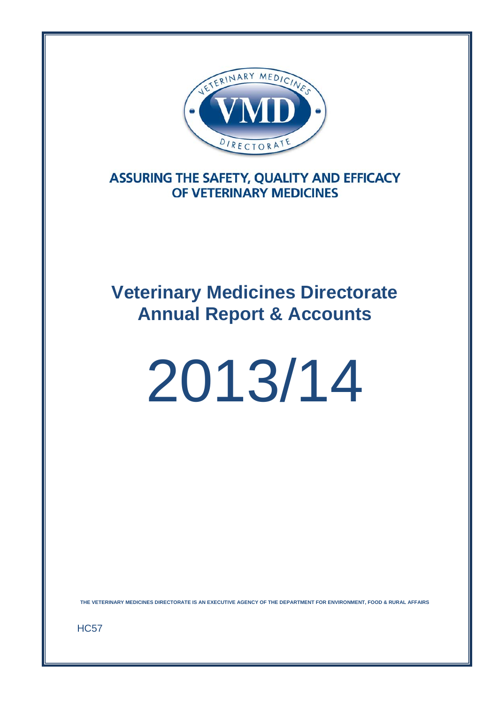

**ASSURING THE SAFETY, QUALITY AND EFFICACY** OF VETERINARY MEDICINES

## **Veterinary Medicines Directorate Annual Report & Accounts**

# 2013/14

**THE VETERINARY MEDICINES DIRECTORATE IS AN EXECUTIVE AGENCY OF THE DEPARTMENT FOR ENVIRONMENT, FOOD & RURAL AFFAIRS** 

HC57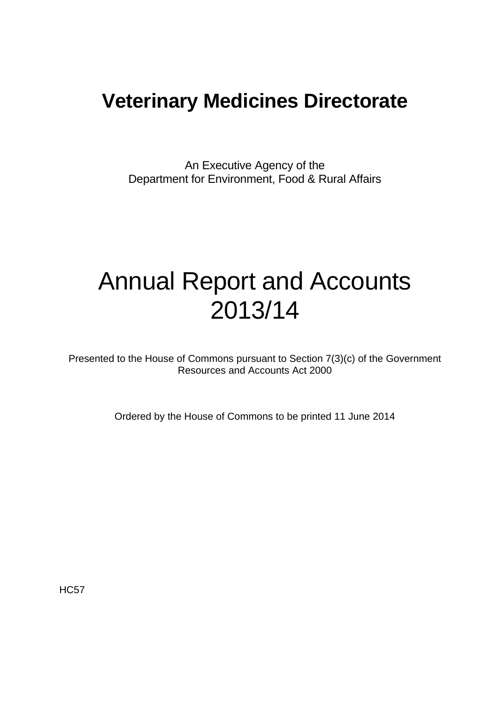### **Veterinary Medicines Directorate**

An Executive Agency of the Department for Environment, Food & Rural Affairs

# Annual Report and Accounts 2013/14

Presented to the House of Commons pursuant to Section 7(3)(c) of the Government Resources and Accounts Act 2000

Ordered by the House of Commons to be printed 11 June 2014

HC57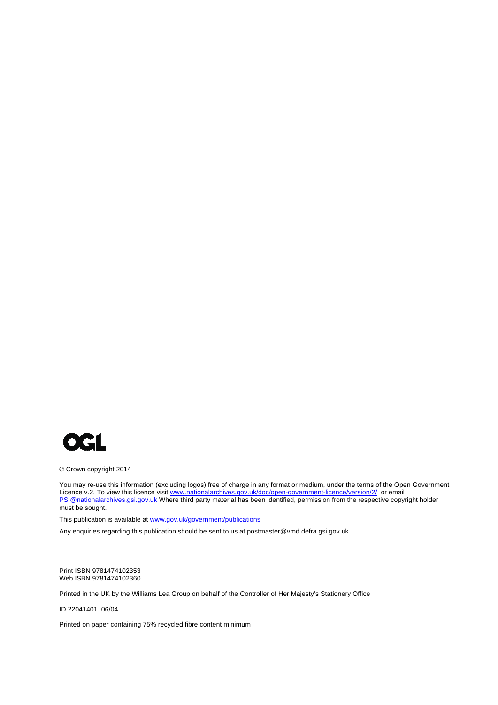

© Crown copyright 2014

You may re-use this information (excluding logos) free of charge in any format or medium, under the terms of the Open Government Licence v.2. To view this licence visit www.nationalarchives.gov.uk/doc/open-government-licence/version/2/ or email PSI@nationalarchives.gsi.gov.uk Where third party material has been identified, permission from the respective copyright holder must be sought.

This publication is available at www.gov.uk/government/publications

Any enquiries regarding this publication should be sent to us at postmaster@vmd.defra.gsi.gov.uk

Print ISBN 9781474102353 Web ISBN 9781474102360

Printed in the UK by the Williams Lea Group on behalf of the Controller of Her Majesty's Stationery Office

ID 22041401 06/04

Printed on paper containing 75% recycled fibre content minimum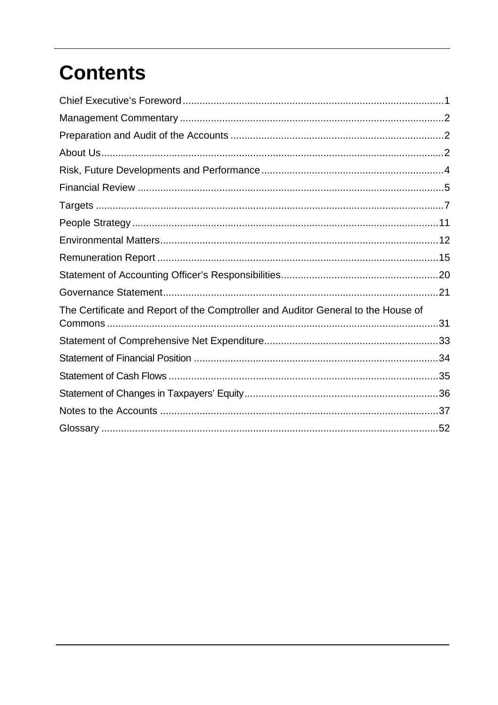# **Contents**

| The Certificate and Report of the Comptroller and Auditor General to the House of |
|-----------------------------------------------------------------------------------|
|                                                                                   |
|                                                                                   |
|                                                                                   |
|                                                                                   |
|                                                                                   |
|                                                                                   |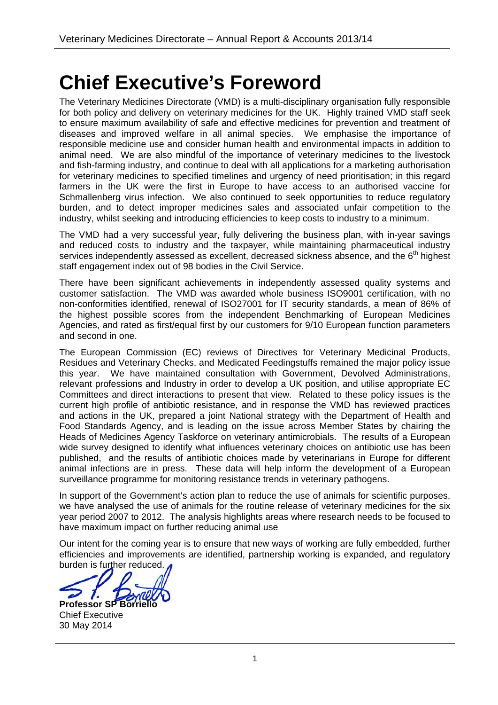# **Chief Executive's Foreword**

The Veterinary Medicines Directorate (VMD) is a multi-disciplinary organisation fully responsible for both policy and delivery on veterinary medicines for the UK. Highly trained VMD staff seek to ensure maximum availability of safe and effective medicines for prevention and treatment of diseases and improved welfare in all animal species. We emphasise the importance of responsible medicine use and consider human health and environmental impacts in addition to animal need. We are also mindful of the importance of veterinary medicines to the livestock and fish-farming industry, and continue to deal with all applications for a marketing authorisation for veterinary medicines to specified timelines and urgency of need prioritisation; in this regard farmers in the UK were the first in Europe to have access to an authorised vaccine for Schmallenberg virus infection. We also continued to seek opportunities to reduce regulatory burden, and to detect improper medicines sales and associated unfair competition to the industry, whilst seeking and introducing efficiencies to keep costs to industry to a minimum.

The VMD had a very successful year, fully delivering the business plan, with in-year savings and reduced costs to industry and the taxpayer, while maintaining pharmaceutical industry services independently assessed as excellent, decreased sickness absence, and the 6<sup>th</sup> highest staff engagement index out of 98 bodies in the Civil Service.

There have been significant achievements in independently assessed quality systems and customer satisfaction. The VMD was awarded whole business ISO9001 certification, with no non-conformities identified, renewal of ISO27001 for IT security standards, a mean of 86% of the highest possible scores from the independent Benchmarking of European Medicines Agencies, and rated as first/equal first by our customers for 9/10 European function parameters and second in one.

The European Commission (EC) reviews of Directives for Veterinary Medicinal Products, Residues and Veterinary Checks, and Medicated Feedingstuffs remained the major policy issue this year. We have maintained consultation with Government, Devolved Administrations, relevant professions and Industry in order to develop a UK position, and utilise appropriate EC Committees and direct interactions to present that view. Related to these policy issues is the current high profile of antibiotic resistance, and in response the VMD has reviewed practices and actions in the UK, prepared a joint National strategy with the Department of Health and Food Standards Agency, and is leading on the issue across Member States by chairing the Heads of Medicines Agency Taskforce on veterinary antimicrobials. The results of a European wide survey designed to identify what influences veterinary choices on antibiotic use has been published, and the results of antibiotic choices made by veterinarians in Europe for different animal infections are in press. These data will help inform the development of a European surveillance programme for monitoring resistance trends in veterinary pathogens.

In support of the Government's action plan to reduce the use of animals for scientific purposes, we have analysed the use of animals for the routine release of veterinary medicines for the six year period 2007 to 2012. The analysis highlights areas where research needs to be focused to have maximum impact on further reducing animal use.

Our intent for the coming year is to ensure that new ways of working are fully embedded, further efficiencies and improvements are identified, partnership working is expanded, and regulatory burden is further reduced.

**Professor SP Borrie** Chief Executive 30 May 2014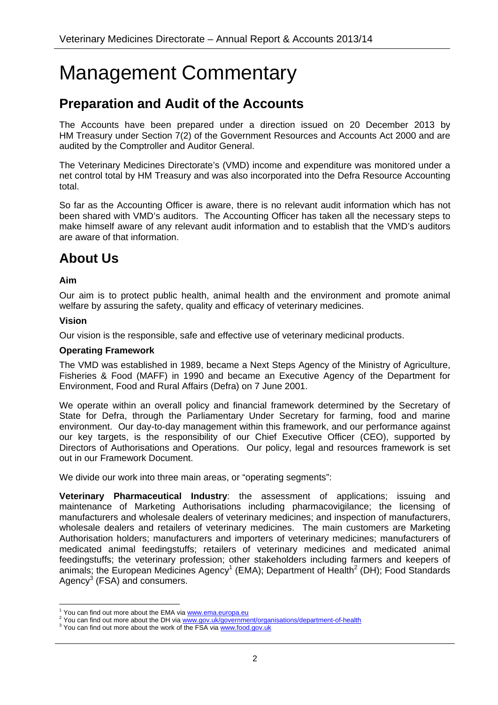# Management Commentary

### **Preparation and Audit of the Accounts**

The Accounts have been prepared under a direction issued on 20 December 2013 by HM Treasury under Section 7(2) of the Government Resources and Accounts Act 2000 and are audited by the Comptroller and Auditor General.

The Veterinary Medicines Directorate's (VMD) income and expenditure was monitored under a net control total by HM Treasury and was also incorporated into the Defra Resource Accounting total.

So far as the Accounting Officer is aware, there is no relevant audit information which has not been shared with VMD's auditors. The Accounting Officer has taken all the necessary steps to make himself aware of any relevant audit information and to establish that the VMD's auditors are aware of that information.

### **About Us**

#### **Aim**

Our aim is to protect public health, animal health and the environment and promote animal welfare by assuring the safety, quality and efficacy of veterinary medicines.

#### **Vision**

Our vision is the responsible, safe and effective use of veterinary medicinal products.

#### **Operating Framework**

The VMD was established in 1989, became a Next Steps Agency of the Ministry of Agriculture, Fisheries & Food (MAFF) in 1990 and became an Executive Agency of the Department for Environment, Food and Rural Affairs (Defra) on 7 June 2001.

We operate within an overall policy and financial framework determined by the Secretary of State for Defra, through the Parliamentary Under Secretary for farming, food and marine environment. Our day-to-day management within this framework, and our performance against our key targets, is the responsibility of our Chief Executive Officer (CEO), supported by Directors of Authorisations and Operations. Our policy, legal and resources framework is set out in our Framework Document.

We divide our work into three main areas, or "operating segments":

**Veterinary Pharmaceutical Industry**: the assessment of applications; issuing and maintenance of Marketing Authorisations including pharmacovigilance; the licensing of manufacturers and wholesale dealers of veterinary medicines; and inspection of manufacturers, wholesale dealers and retailers of veterinary medicines. The main customers are Marketing Authorisation holders; manufacturers and importers of veterinary medicines; manufacturers of medicated animal feedingstuffs; retailers of veterinary medicines and medicated animal feedingstuffs; the veterinary profession; other stakeholders including farmers and keepers of animals; the European Medicines Agency<sup>1</sup> (EMA); Department of Health<sup>2</sup> (DH); Food Standards Agency<sup>3</sup> (FSA) and consumers.

 $\frac{1}{1}$  You can find out more about the EMA via  $\frac{www.ema.europa.eu}{www.ema.europa.eu}$ 

You can find out more about the DH via www.gov.uk/government/organisations/department-of-health

<sup>&</sup>lt;sup>3</sup> You can find out more about the work of the FSA via www.food.gov.uk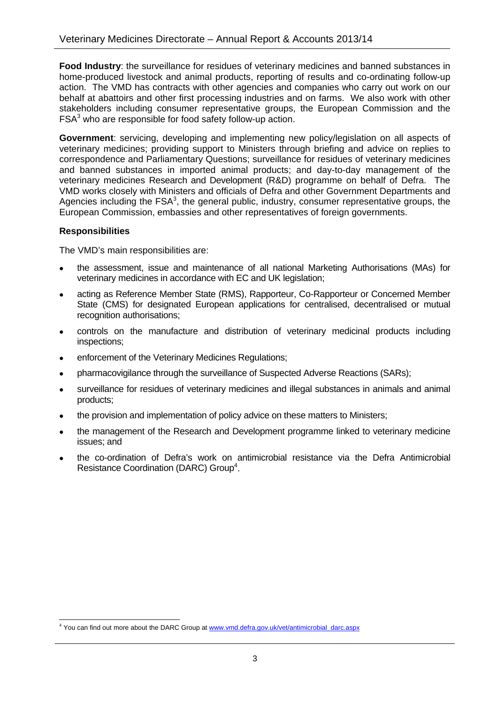**Food Industry**: the surveillance for residues of veterinary medicines and banned substances in home-produced livestock and animal products, reporting of results and co-ordinating follow-up action. The VMD has contracts with other agencies and companies who carry out work on our behalf at abattoirs and other first processing industries and on farms. We also work with other stakeholders including consumer representative groups, the European Commission and the  $FSA<sup>3</sup>$  who are responsible for food safety follow-up action.

**Government**: servicing, developing and implementing new policy/legislation on all aspects of veterinary medicines; providing support to Ministers through briefing and advice on replies to correspondence and Parliamentary Questions; surveillance for residues of veterinary medicines and banned substances in imported animal products; and day-to-day management of the veterinary medicines Research and Development (R&D) programme on behalf of Defra. The VMD works closely with Ministers and officials of Defra and other Government Departments and Agencies including the  $FSA<sup>3</sup>$ , the general public, industry, consumer representative groups, the European Commission, embassies and other representatives of foreign governments.

#### **Responsibilities**

The VMD's main responsibilities are:

- the assessment, issue and maintenance of all national Marketing Authorisations (MAs) for veterinary medicines in accordance with EC and UK legislation;
- acting as Reference Member State (RMS), Rapporteur, Co-Rapporteur or Concerned Member State (CMS) for designated European applications for centralised, decentralised or mutual recognition authorisations;
- controls on the manufacture and distribution of veterinary medicinal products including inspections;
- enforcement of the Veterinary Medicines Regulations;
- pharmacovigilance through the surveillance of Suspected Adverse Reactions (SARs);
- surveillance for residues of veterinary medicines and illegal substances in animals and animal products;
- the provision and implementation of policy advice on these matters to Ministers;
- the management of the Research and Development programme linked to veterinary medicine issues; and
- the co-ordination of Defra's work on antimicrobial resistance via the Defra Antimicrobial Resistance Coordination (DARC) Group<sup>4</sup>.

 <sup>4</sup> You can find out more about the DARC Group at www.vmd.defra.gov.uk/vet/antimicrobial\_darc.aspx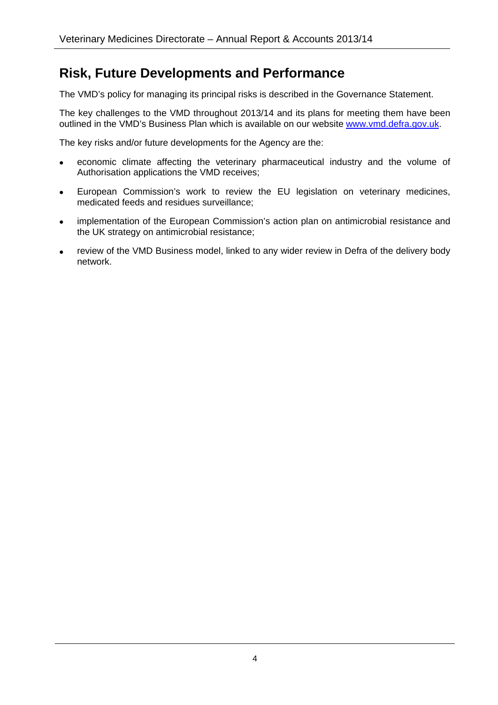### **Risk, Future Developments and Performance**

The VMD's policy for managing its principal risks is described in the Governance Statement.

The key challenges to the VMD throughout 2013/14 and its plans for meeting them have been outlined in the VMD's Business Plan which is available on our website www.vmd.defra.gov.uk.

The key risks and/or future developments for the Agency are the:

- economic climate affecting the veterinary pharmaceutical industry and the volume of Authorisation applications the VMD receives;
- European Commission's work to review the EU legislation on veterinary medicines, medicated feeds and residues surveillance;
- implementation of the European Commission's action plan on antimicrobial resistance and the UK strategy on antimicrobial resistance;
- review of the VMD Business model, linked to any wider review in Defra of the delivery body network.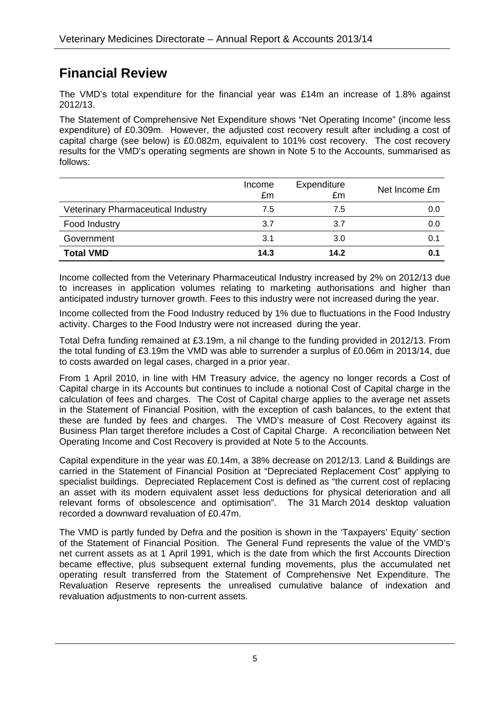### **Financial Review**

The VMD's total expenditure for the financial year was £14m an increase of 1.8% against 2012/13.

The Statement of Comprehensive Net Expenditure shows "Net Operating Income" (income less expenditure) of £0.309m. However, the adjusted cost recovery result after including a cost of capital charge (see below) is £0.082m, equivalent to 101% cost recovery. The cost recovery results for the VMD's operating segments are shown in Note 5 to the Accounts, summarised as follows:

|                                           | Income<br>£m | Expenditure<br>£m | Net Income £m |
|-------------------------------------------|--------------|-------------------|---------------|
| <b>Veterinary Pharmaceutical Industry</b> | 7.5          | 7.5               | 0.0           |
| Food Industry                             | 3.7          | 3.7               | 0.0           |
| Government                                | 3.1          | 3.0               | 0.1           |
| <b>Total VMD</b>                          | 14.3         | 14.2              | 0.1           |

Income collected from the Veterinary Pharmaceutical Industry increased by 2% on 2012/13 due to increases in application volumes relating to marketing authorisations and higher than anticipated industry turnover growth. Fees to this industry were not increased during the year.

Income collected from the Food Industry reduced by 1% due to fluctuations in the Food Industry activity. Charges to the Food Industry were not increased during the year.

Total Defra funding remained at £3.19m, a nil change to the funding provided in 2012/13. From the total funding of £3.19m the VMD was able to surrender a surplus of £0.06m in 2013/14, due to costs awarded on legal cases, charged in a prior year.

From 1 April 2010, in line with HM Treasury advice, the agency no longer records a Cost of Capital charge in its Accounts but continues to include a notional Cost of Capital charge in the calculation of fees and charges. The Cost of Capital charge applies to the average net assets in the Statement of Financial Position, with the exception of cash balances, to the extent that these are funded by fees and charges. The VMD's measure of Cost Recovery against its Business Plan target therefore includes a Cost of Capital Charge. A reconciliation between Net Operating Income and Cost Recovery is provided at Note 5 to the Accounts.

Capital expenditure in the year was £0.14m, a 38% decrease on 2012/13. Land & Buildings are carried in the Statement of Financial Position at "Depreciated Replacement Cost" applying to specialist buildings. Depreciated Replacement Cost is defined as "the current cost of replacing an asset with its modern equivalent asset less deductions for physical deterioration and all relevant forms of obsolescence and optimisation". The 31 March 2014 desktop valuation recorded a downward revaluation of £0.47m.

The VMD is partly funded by Defra and the position is shown in the 'Taxpayers' Equity' section of the Statement of Financial Position. The General Fund represents the value of the VMD's net current assets as at 1 April 1991, which is the date from which the first Accounts Direction became effective, plus subsequent external funding movements, plus the accumulated net operating result transferred from the Statement of Comprehensive Net Expenditure. The Revaluation Reserve represents the unrealised cumulative balance of indexation and revaluation adjustments to non-current assets.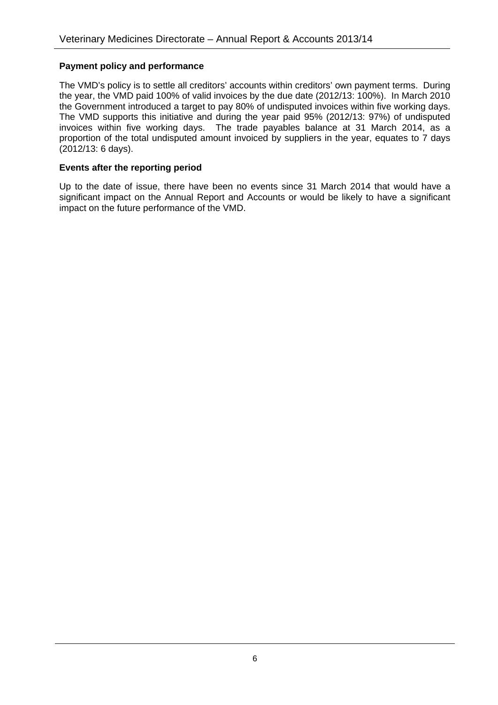#### **Payment policy and performance**

The VMD's policy is to settle all creditors' accounts within creditors' own payment terms. During the year, the VMD paid 100% of valid invoices by the due date (2012/13: 100%). In March 2010 the Government introduced a target to pay 80% of undisputed invoices within five working days. The VMD supports this initiative and during the year paid 95% (2012/13: 97%) of undisputed invoices within five working days. The trade payables balance at 31 March 2014, as a proportion of the total undisputed amount invoiced by suppliers in the year, equates to 7 days (2012/13: 6 days).

#### **Events after the reporting period**

Up to the date of issue, there have been no events since 31 March 2014 that would have a significant impact on the Annual Report and Accounts or would be likely to have a significant impact on the future performance of the VMD.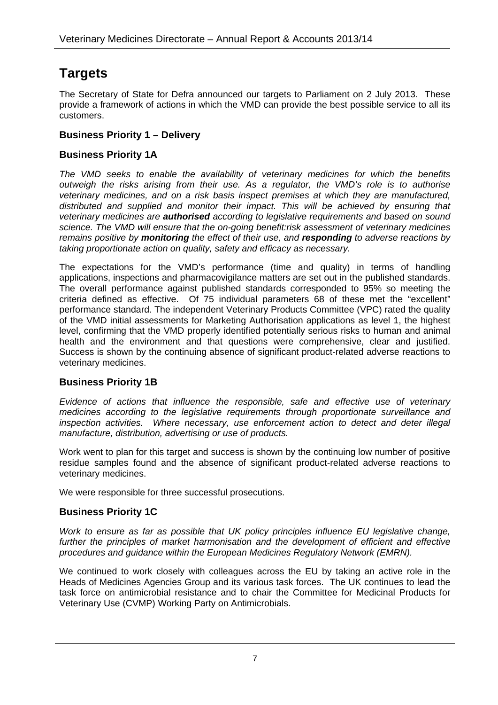### **Targets**

The Secretary of State for Defra announced our targets to Parliament on 2 July 2013. These provide a framework of actions in which the VMD can provide the best possible service to all its customers.

#### **Business Priority 1 – Delivery**

#### **Business Priority 1A**

*The VMD seeks to enable the availability of veterinary medicines for which the benefits outweigh the risks arising from their use. As a regulator, the VMD's role is to authorise veterinary medicines, and on a risk basis inspect premises at which they are manufactured, distributed and supplied and monitor their impact. This will be achieved by ensuring that veterinary medicines are authorised according to legislative requirements and based on sound science. The VMD will ensure that the on-going benefit:risk assessment of veterinary medicines remains positive by monitoring the effect of their use, and responding to adverse reactions by taking proportionate action on quality, safety and efficacy as necessary.* 

The expectations for the VMD's performance (time and quality) in terms of handling applications, inspections and pharmacovigilance matters are set out in the published standards. The overall performance against published standards corresponded to 95% so meeting the criteria defined as effective. Of 75 individual parameters 68 of these met the "excellent" performance standard. The independent Veterinary Products Committee (VPC) rated the quality of the VMD initial assessments for Marketing Authorisation applications as level 1, the highest level, confirming that the VMD properly identified potentially serious risks to human and animal health and the environment and that questions were comprehensive, clear and justified. Success is shown by the continuing absence of significant product-related adverse reactions to veterinary medicines.

#### **Business Priority 1B**

*Evidence of actions that influence the responsible, safe and effective use of veterinary medicines according to the legislative requirements through proportionate surveillance and inspection activities. Where necessary, use enforcement action to detect and deter illegal manufacture, distribution, advertising or use of products.*

Work went to plan for this target and success is shown by the continuing low number of positive residue samples found and the absence of significant product-related adverse reactions to veterinary medicines.

We were responsible for three successful prosecutions.

#### **Business Priority 1C**

*Work to ensure as far as possible that UK policy principles influence EU legislative change, further the principles of market harmonisation and the development of efficient and effective procedures and guidance within the European Medicines Regulatory Network (EMRN).*

We continued to work closely with colleagues across the EU by taking an active role in the Heads of Medicines Agencies Group and its various task forces. The UK continues to lead the task force on antimicrobial resistance and to chair the Committee for Medicinal Products for Veterinary Use (CVMP) Working Party on Antimicrobials.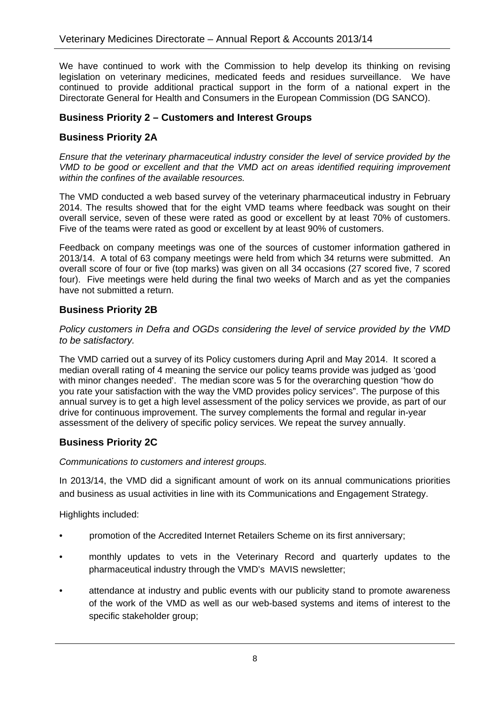We have continued to work with the Commission to help develop its thinking on revising legislation on veterinary medicines, medicated feeds and residues surveillance. We have continued to provide additional practical support in the form of a national expert in the Directorate General for Health and Consumers in the European Commission (DG SANCO).

#### **Business Priority 2 – Customers and Interest Groups**

#### **Business Priority 2A**

*Ensure that the veterinary pharmaceutical industry consider the level of service provided by the VMD to be good or excellent and that the VMD act on areas identified requiring improvement within the confines of the available resources.* 

The VMD conducted a web based survey of the veterinary pharmaceutical industry in February 2014. The results showed that for the eight VMD teams where feedback was sought on their overall service, seven of these were rated as good or excellent by at least 70% of customers. Five of the teams were rated as good or excellent by at least 90% of customers.

Feedback on company meetings was one of the sources of customer information gathered in 2013/14. A total of 63 company meetings were held from which 34 returns were submitted. An overall score of four or five (top marks) was given on all 34 occasions (27 scored five, 7 scored four). Five meetings were held during the final two weeks of March and as yet the companies have not submitted a return.

#### **Business Priority 2B**

*Policy customers in Defra and OGDs considering the level of service provided by the VMD to be satisfactory.*

The VMD carried out a survey of its Policy customers during April and May 2014. It scored a median overall rating of 4 meaning the service our policy teams provide was judged as 'good with minor changes needed'. The median score was 5 for the overarching question "how do you rate your satisfaction with the way the VMD provides policy services". The purpose of this annual survey is to get a high level assessment of the policy services we provide, as part of our drive for continuous improvement. The survey complements the formal and regular in-year assessment of the delivery of specific policy services. We repeat the survey annually.

#### **Business Priority 2C**

*Communications to customers and interest groups.* 

In 2013/14, the VMD did a significant amount of work on its annual communications priorities and business as usual activities in line with its Communications and Engagement Strategy.

Highlights included:

- promotion of the Accredited Internet Retailers Scheme on its first anniversary;
- monthly updates to vets in the Veterinary Record and quarterly updates to the pharmaceutical industry through the VMD's MAVIS newsletter;
- attendance at industry and public events with our publicity stand to promote awareness of the work of the VMD as well as our web-based systems and items of interest to the specific stakeholder group;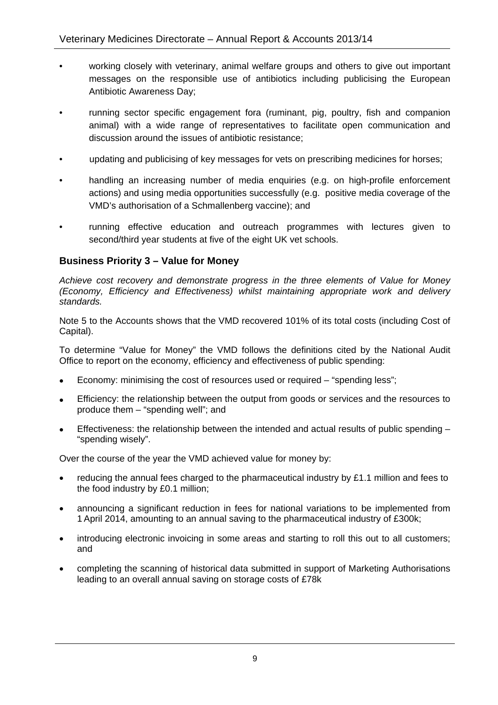- working closely with veterinary, animal welfare groups and others to give out important messages on the responsible use of antibiotics including publicising the European Antibiotic Awareness Day;
- running sector specific engagement fora (ruminant, pig, poultry, fish and companion animal) with a wide range of representatives to facilitate open communication and discussion around the issues of antibiotic resistance;
- updating and publicising of key messages for vets on prescribing medicines for horses;
- handling an increasing number of media enquiries (e.g. on high-profile enforcement actions) and using media opportunities successfully (e.g. positive media coverage of the VMD's authorisation of a Schmallenberg vaccine); and
- running effective education and outreach programmes with lectures given to second/third year students at five of the eight UK vet schools.

#### **Business Priority 3 – Value for Money**

*Achieve cost recovery and demonstrate progress in the three elements of Value for Money (Economy, Efficiency and Effectiveness) whilst maintaining appropriate work and delivery standards.*

Note 5 to the Accounts shows that the VMD recovered 101% of its total costs (including Cost of Capital).

To determine "Value for Money" the VMD follows the definitions cited by the National Audit Office to report on the economy, efficiency and effectiveness of public spending:

- Economy: minimising the cost of resources used or required "spending less";
- Efficiency: the relationship between the output from goods or services and the resources to produce them – "spending well"; and
- Effectiveness: the relationship between the intended and actual results of public spending "spending wisely".

Over the course of the year the VMD achieved value for money by:

- reducing the annual fees charged to the pharmaceutical industry by £1.1 million and fees to the food industry by £0.1 million;
- announcing a significant reduction in fees for national variations to be implemented from 1 April 2014, amounting to an annual saving to the pharmaceutical industry of £300k;
- introducing electronic invoicing in some areas and starting to roll this out to all customers; and
- completing the scanning of historical data submitted in support of Marketing Authorisations leading to an overall annual saving on storage costs of £78k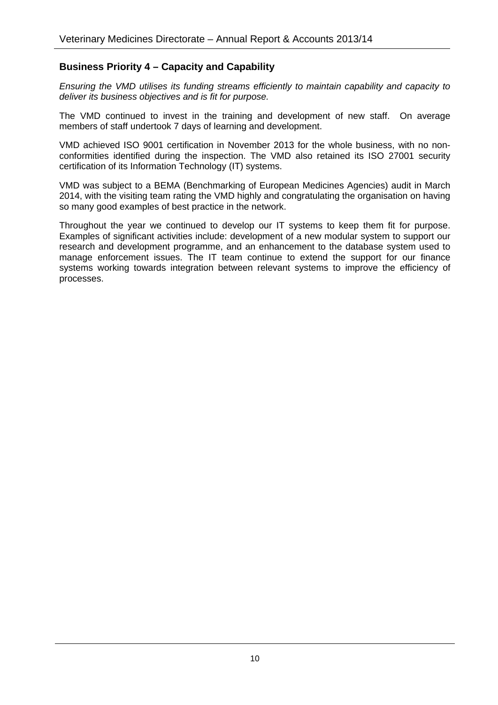#### **Business Priority 4 – Capacity and Capability**

*Ensuring the VMD utilises its funding streams efficiently to maintain capability and capacity to deliver its business objectives and is fit for purpose.* 

The VMD continued to invest in the training and development of new staff. On average members of staff undertook 7 days of learning and development.

VMD achieved ISO 9001 certification in November 2013 for the whole business, with no nonconformities identified during the inspection. The VMD also retained its ISO 27001 security certification of its Information Technology (IT) systems.

VMD was subject to a BEMA (Benchmarking of European Medicines Agencies) audit in March 2014, with the visiting team rating the VMD highly and congratulating the organisation on having so many good examples of best practice in the network.

Throughout the year we continued to develop our IT systems to keep them fit for purpose. Examples of significant activities include: development of a new modular system to support our research and development programme, and an enhancement to the database system used to manage enforcement issues. The IT team continue to extend the support for our finance systems working towards integration between relevant systems to improve the efficiency of processes.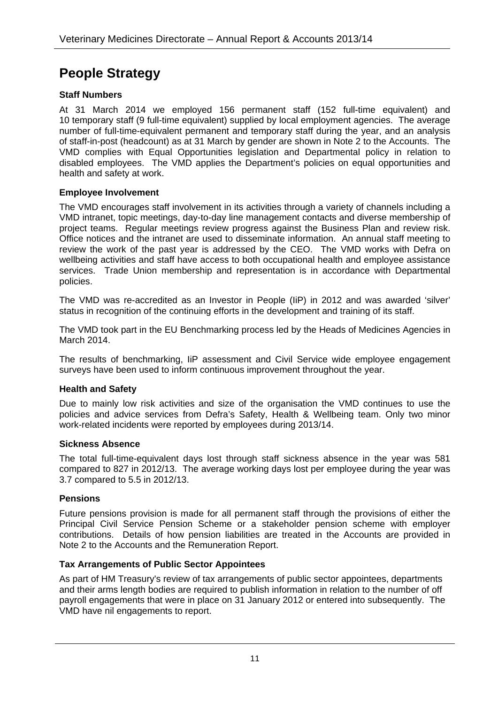### **People Strategy**

#### **Staff Numbers**

At 31 March 2014 we employed 156 permanent staff (152 full-time equivalent) and 10 temporary staff (9 full-time equivalent) supplied by local employment agencies. The average number of full-time-equivalent permanent and temporary staff during the year, and an analysis of staff-in-post (headcount) as at 31 March by gender are shown in Note 2 to the Accounts. The VMD complies with Equal Opportunities legislation and Departmental policy in relation to disabled employees. The VMD applies the Department's policies on equal opportunities and health and safety at work.

#### **Employee Involvement**

The VMD encourages staff involvement in its activities through a variety of channels including a VMD intranet, topic meetings, day-to-day line management contacts and diverse membership of project teams. Regular meetings review progress against the Business Plan and review risk. Office notices and the intranet are used to disseminate information. An annual staff meeting to review the work of the past year is addressed by the CEO. The VMD works with Defra on wellbeing activities and staff have access to both occupational health and employee assistance services. Trade Union membership and representation is in accordance with Departmental policies.

The VMD was re-accredited as an Investor in People (IiP) in 2012 and was awarded 'silver' status in recognition of the continuing efforts in the development and training of its staff.

The VMD took part in the EU Benchmarking process led by the Heads of Medicines Agencies in March 2014.

The results of benchmarking, IiP assessment and Civil Service wide employee engagement surveys have been used to inform continuous improvement throughout the year.

#### **Health and Safety**

Due to mainly low risk activities and size of the organisation the VMD continues to use the policies and advice services from Defra's Safety, Health & Wellbeing team. Only two minor work-related incidents were reported by employees during 2013/14.

#### **Sickness Absence**

The total full-time-equivalent days lost through staff sickness absence in the year was 581 compared to 827 in 2012/13. The average working days lost per employee during the year was 3.7 compared to 5.5 in 2012/13.

#### **Pensions**

Future pensions provision is made for all permanent staff through the provisions of either the Principal Civil Service Pension Scheme or a stakeholder pension scheme with employer contributions. Details of how pension liabilities are treated in the Accounts are provided in Note 2 to the Accounts and the Remuneration Report.

#### **Tax Arrangements of Public Sector Appointees**

As part of HM Treasury's review of tax arrangements of public sector appointees, departments and their arms length bodies are required to publish information in relation to the number of off payroll engagements that were in place on 31 January 2012 or entered into subsequently. The VMD have nil engagements to report.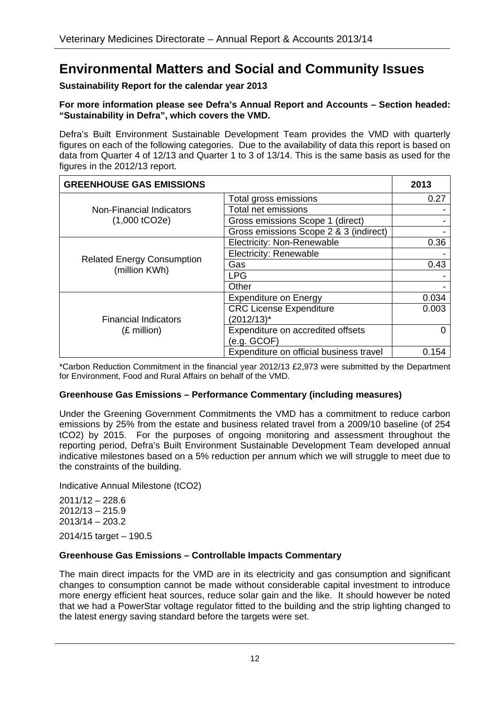### **Environmental Matters and Social and Community Issues**

#### **Sustainability Report for the calendar year 2013**

#### **For more information please see Defra's Annual Report and Accounts – Section headed: "Sustainability in Defra", which covers the VMD.**

Defra's Built Environment Sustainable Development Team provides the VMD with quarterly figures on each of the following categories. Due to the availability of data this report is based on data from Quarter 4 of 12/13 and Quarter 1 to 3 of 13/14. This is the same basis as used for the figures in the 2012/13 report.

| <b>GREENHOUSE GAS EMISSIONS</b>                      |                                         | 2013  |
|------------------------------------------------------|-----------------------------------------|-------|
|                                                      | Total gross emissions                   | 0.27  |
| Non-Financial Indicators                             | <b>Total net emissions</b>              |       |
| $(1,000$ tCO <sub>2</sub> e $)$                      | Gross emissions Scope 1 (direct)        |       |
|                                                      | Gross emissions Scope 2 & 3 (indirect)  |       |
|                                                      | <b>Electricity: Non-Renewable</b>       | 0.36  |
|                                                      | <b>Electricity: Renewable</b>           |       |
| <b>Related Energy Consumption</b><br>(million KWh)   | Gas                                     | 0.43  |
|                                                      | <b>LPG</b>                              |       |
|                                                      | Other                                   |       |
|                                                      | <b>Expenditure on Energy</b>            | 0.034 |
|                                                      | <b>CRC License Expenditure</b>          | 0.003 |
| <b>Financial Indicators</b><br>$(E \text{ million})$ | (2012/13)*                              |       |
|                                                      | Expenditure on accredited offsets       |       |
|                                                      | (e.g. GCOF)                             |       |
|                                                      | Expenditure on official business travel | 0.154 |

\*Carbon Reduction Commitment in the financial year 2012/13 £2,973 were submitted by the Department for Environment, Food and Rural Affairs on behalf of the VMD.

#### **Greenhouse Gas Emissions – Performance Commentary (including measures)**

Under the Greening Government Commitments the VMD has a commitment to reduce carbon emissions by 25% from the estate and business related travel from a 2009/10 baseline (of 254 tCO2) by 2015. For the purposes of ongoing monitoring and assessment throughout the reporting period, Defra's Built Environment Sustainable Development Team developed annual indicative milestones based on a 5% reduction per annum which we will struggle to meet due to the constraints of the building.

Indicative Annual Milestone (tCO2)

2011/12 – 228.6 2012/13 – 215.9 2013/14 – 203.2 2014/15 target – 190.5

#### **Greenhouse Gas Emissions – Controllable Impacts Commentary**

The main direct impacts for the VMD are in its electricity and gas consumption and significant changes to consumption cannot be made without considerable capital investment to introduce more energy efficient heat sources, reduce solar gain and the like. It should however be noted that we had a PowerStar voltage regulator fitted to the building and the strip lighting changed to the latest energy saving standard before the targets were set.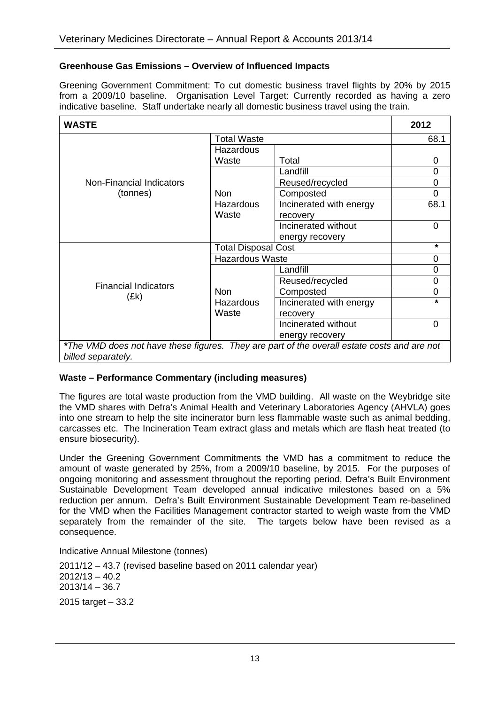#### **Greenhouse Gas Emissions – Overview of Influenced Impacts**

Greening Government Commitment: To cut domestic business travel flights by 20% by 2015 from a 2009/10 baseline. Organisation Level Target: Currently recorded as having a zero indicative baseline. Staff undertake nearly all domestic business travel using the train.

| <b>WASTE</b>                                                                                                      |                            |                         | 2012           |
|-------------------------------------------------------------------------------------------------------------------|----------------------------|-------------------------|----------------|
| <b>Total Waste</b>                                                                                                |                            |                         | 68.1           |
|                                                                                                                   | Hazardous                  |                         |                |
|                                                                                                                   | Waste                      | Total                   | 0              |
|                                                                                                                   |                            | Landfill                | $\overline{0}$ |
| Non-Financial Indicators                                                                                          |                            | Reused/recycled         | 0              |
| (tonnes)                                                                                                          | <b>Non</b>                 | Composted               | $\mathbf 0$    |
|                                                                                                                   | Hazardous                  | Incinerated with energy | 68.1           |
|                                                                                                                   | Waste                      | recovery                |                |
|                                                                                                                   |                            | Incinerated without     | 0              |
|                                                                                                                   |                            | energy recovery         |                |
|                                                                                                                   | <b>Total Disposal Cost</b> |                         | $\star$        |
|                                                                                                                   | <b>Hazardous Waste</b>     | 0                       |                |
|                                                                                                                   |                            | Landfill                | 0              |
| <b>Financial Indicators</b>                                                                                       |                            | Reused/recycled         | 0              |
|                                                                                                                   | <b>Non</b>                 | Composted               | 0              |
| (Ek)                                                                                                              | Hazardous                  | Incinerated with energy | $\star$        |
|                                                                                                                   | Waste                      | recovery                |                |
|                                                                                                                   |                            | Incinerated without     | 0              |
|                                                                                                                   |                            | energy recovery         |                |
| *The VMD does not have these figures. They are part of the overall estate costs and are not<br>billed separately. |                            |                         |                |

#### **Waste – Performance Commentary (including measures)**

The figures are total waste production from the VMD building. All waste on the Weybridge site the VMD shares with Defra's Animal Health and Veterinary Laboratories Agency (AHVLA) goes into one stream to help the site incinerator burn less flammable waste such as animal bedding, carcasses etc. The Incineration Team extract glass and metals which are flash heat treated (to ensure biosecurity).

Under the Greening Government Commitments the VMD has a commitment to reduce the amount of waste generated by 25%, from a 2009/10 baseline, by 2015. For the purposes of ongoing monitoring and assessment throughout the reporting period, Defra's Built Environment Sustainable Development Team developed annual indicative milestones based on a 5% reduction per annum. Defra's Built Environment Sustainable Development Team re-baselined for the VMD when the Facilities Management contractor started to weigh waste from the VMD separately from the remainder of the site. The targets below have been revised as a consequence.

Indicative Annual Milestone (tonnes)

2011/12 – 43.7 (revised baseline based on 2011 calendar year) 2012/13 – 40.2 2013/14 – 36.7

2015 target – 33.2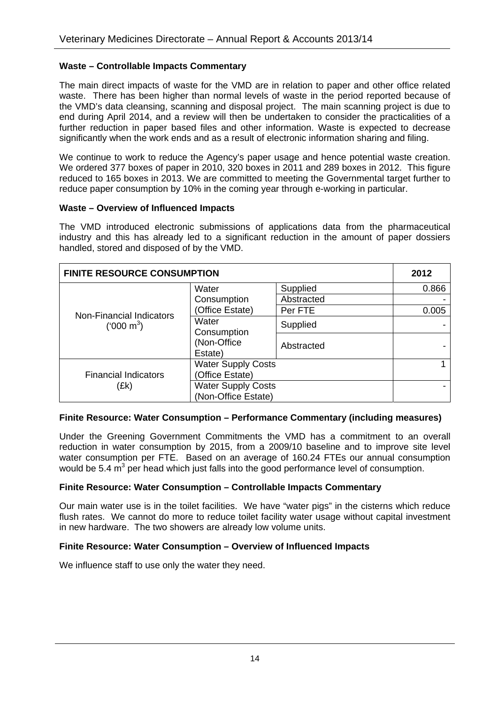#### **Waste – Controllable Impacts Commentary**

The main direct impacts of waste for the VMD are in relation to paper and other office related waste. There has been higher than normal levels of waste in the period reported because of the VMD's data cleansing, scanning and disposal project. The main scanning project is due to end during April 2014, and a review will then be undertaken to consider the practicalities of a further reduction in paper based files and other information. Waste is expected to decrease significantly when the work ends and as a result of electronic information sharing and filing.

We continue to work to reduce the Agency's paper usage and hence potential waste creation. We ordered 377 boxes of paper in 2010, 320 boxes in 2011 and 289 boxes in 2012. This figure reduced to 165 boxes in 2013. We are committed to meeting the Governmental target further to reduce paper consumption by 10% in the coming year through e-working in particular.

#### **Waste – Overview of Influenced Impacts**

The VMD introduced electronic submissions of applications data from the pharmaceutical industry and this has already led to a significant reduction in the amount of paper dossiers handled, stored and disposed of by the VMD.

| <b>FINITE RESOURCE CONSUMPTION</b> |                           |            | 2012  |
|------------------------------------|---------------------------|------------|-------|
|                                    | Water                     | Supplied   | 0.866 |
|                                    | Consumption               | Abstracted |       |
| Non-Financial Indicators           | (Office Estate)           | Per FTE    | 0.005 |
| ('000 m <sup>3</sup> )             | Water<br>Consumption      | Supplied   |       |
|                                    | (Non-Office<br>Estate)    | Abstracted |       |
|                                    | <b>Water Supply Costs</b> |            |       |
| <b>Financial Indicators</b>        | (Office Estate)           |            |       |
| (Ek)                               | <b>Water Supply Costs</b> |            |       |
|                                    | (Non-Office Estate)       |            |       |

#### **Finite Resource: Water Consumption – Performance Commentary (including measures)**

Under the Greening Government Commitments the VMD has a commitment to an overall reduction in water consumption by 2015, from a 2009/10 baseline and to improve site level water consumption per FTE. Based on an average of 160.24 FTEs our annual consumption would be 5.4  $m^3$  per head which just falls into the good performance level of consumption.

#### **Finite Resource: Water Consumption – Controllable Impacts Commentary**

Our main water use is in the toilet facilities. We have "water pigs" in the cisterns which reduce flush rates. We cannot do more to reduce toilet facility water usage without capital investment in new hardware. The two showers are already low volume units.

#### **Finite Resource: Water Consumption – Overview of Influenced Impacts**

We influence staff to use only the water they need.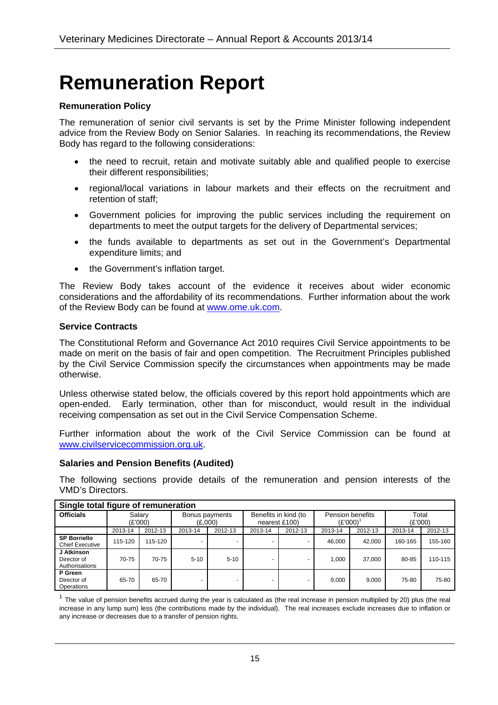# **Remuneration Report**

#### **Remuneration Policy**

The remuneration of senior civil servants is set by the Prime Minister following independent advice from the Review Body on Senior Salaries. In reaching its recommendations, the Review Body has regard to the following considerations:

- the need to recruit, retain and motivate suitably able and qualified people to exercise their different responsibilities;
- regional/local variations in labour markets and their effects on the recruitment and retention of staff;
- Government policies for improving the public services including the requirement on departments to meet the output targets for the delivery of Departmental services;
- the funds available to departments as set out in the Government's Departmental expenditure limits; and
- the Government's inflation target.

The Review Body takes account of the evidence it receives about wider economic considerations and the affordability of its recommendations. Further information about the work of the Review Body can be found at www.ome.uk.com.

#### **Service Contracts**

The Constitutional Reform and Governance Act 2010 requires Civil Service appointments to be made on merit on the basis of fair and open competition. The Recruitment Principles published by the Civil Service Commission specify the circumstances when appointments may be made otherwise.

Unless otherwise stated below, the officials covered by this report hold appointments which are open-ended. Early termination, other than for misconduct, would result in the individual receiving compensation as set out in the Civil Service Compensation Scheme.

Further information about the work of the Civil Service Commission can be found at www.civilservicecommission.org.uk.

#### **Salaries and Pension Benefits (Audited)**

The following sections provide details of the remuneration and pension interests of the VMD's Directors.

| Single total figure of remuneration           |                   |         |                           |          |                                       |         |         |                  |                  |         |
|-----------------------------------------------|-------------------|---------|---------------------------|----------|---------------------------------------|---------|---------|------------------|------------------|---------|
| <b>Officials</b>                              | Salarv<br>(E'000) |         | Bonus payments<br>(£,000) |          | Benefits in kind (to<br>nearest £100) |         | (E'000) | Pension benefits | Total<br>(£'000) |         |
|                                               | 2013-14           | 2012-13 | 2013-14                   | 2012-13  | 2013-14                               | 2012-13 | 2013-14 | 2012-13          | 2013-14          | 2012-13 |
| <b>SP Borriello</b><br><b>Chief Executive</b> | 115-120           | 115-120 |                           |          |                                       |         | 46.000  | 42.000           | 160-165          | 155-160 |
| J Atkinson<br>Director of<br>Authorisations   | 70-75             | 70-75   | $5 - 10$                  | $5 - 10$ |                                       |         | 1.000   | 37.000           | 80-85            | 110-115 |
| P Green<br>Director of<br>Operations          | 65-70             | 65-70   |                           |          |                                       |         | 9.000   | 9.000            | 75-80            | 75-80   |

 $1$  The value of pension benefits accrued during the year is calculated as (the real increase in pension multiplied by 20) plus (the real increase in any lump sum) less (the contributions made by the individual). The real increases exclude increases due to inflation or any increase or decreases due to a transfer of pension rights.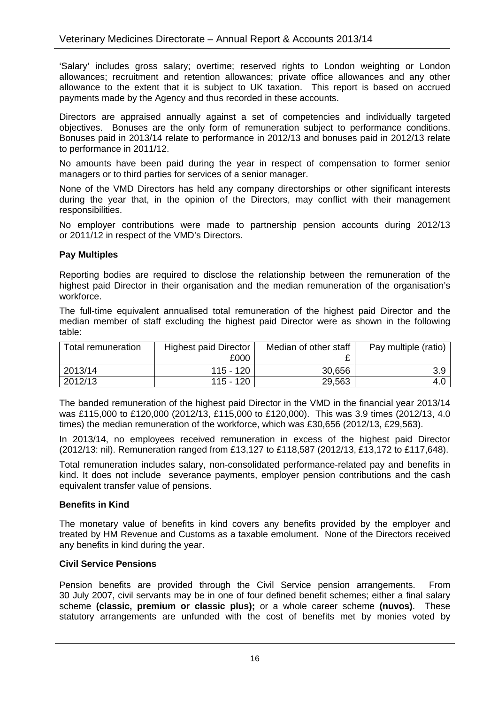'Salary' includes gross salary; overtime; reserved rights to London weighting or London allowances; recruitment and retention allowances; private office allowances and any other allowance to the extent that it is subject to UK taxation. This report is based on accrued payments made by the Agency and thus recorded in these accounts.

Directors are appraised annually against a set of competencies and individually targeted objectives. Bonuses are the only form of remuneration subject to performance conditions. Bonuses paid in 2013/14 relate to performance in 2012/13 and bonuses paid in 2012/13 relate to performance in 2011/12.

No amounts have been paid during the year in respect of compensation to former senior managers or to third parties for services of a senior manager.

None of the VMD Directors has held any company directorships or other significant interests during the year that, in the opinion of the Directors, may conflict with their management responsibilities.

No employer contributions were made to partnership pension accounts during 2012/13 or 2011/12 in respect of the VMD's Directors.

#### **Pay Multiples**

Reporting bodies are required to disclose the relationship between the remuneration of the highest paid Director in their organisation and the median remuneration of the organisation's workforce.

The full-time equivalent annualised total remuneration of the highest paid Director and the median member of staff excluding the highest paid Director were as shown in the following table:

| Total remuneration | <b>Highest paid Director</b><br>£000 | Median of other staff | Pay multiple (ratio) |
|--------------------|--------------------------------------|-----------------------|----------------------|
| 2013/14            | 115 - 120                            | 30,656                | 3.9                  |
| 2012/13            | 115 - 120                            | 29,563                |                      |

The banded remuneration of the highest paid Director in the VMD in the financial year 2013/14 was £115,000 to £120,000 (2012/13, £115,000 to £120,000). This was 3.9 times (2012/13, 4.0 times) the median remuneration of the workforce, which was £30,656 (2012/13, £29,563).

In 2013/14, no employees received remuneration in excess of the highest paid Director (2012/13: nil). Remuneration ranged from £13,127 to £118,587 (2012/13, £13,172 to £117,648).

Total remuneration includes salary, non-consolidated performance-related pay and benefits in kind. It does not include severance payments, employer pension contributions and the cash equivalent transfer value of pensions.

#### **Benefits in Kind**

The monetary value of benefits in kind covers any benefits provided by the employer and treated by HM Revenue and Customs as a taxable emolument. None of the Directors received any benefits in kind during the year.

#### **Civil Service Pensions**

Pension benefits are provided through the Civil Service pension arrangements. From 30 July 2007, civil servants may be in one of four defined benefit schemes; either a final salary scheme **(classic, premium or classic plus);** or a whole career scheme **(nuvos)**. These statutory arrangements are unfunded with the cost of benefits met by monies voted by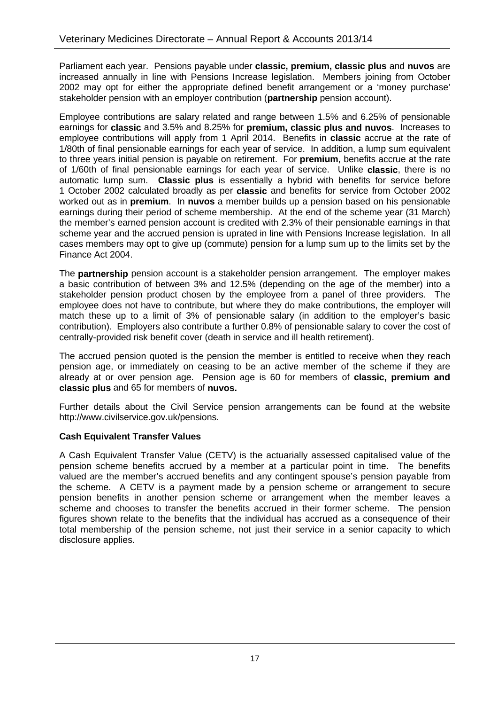Parliament each year. Pensions payable under **classic, premium, classic plus** and **nuvos** are increased annually in line with Pensions Increase legislation. Members joining from October 2002 may opt for either the appropriate defined benefit arrangement or a 'money purchase' stakeholder pension with an employer contribution (**partnership** pension account).

Employee contributions are salary related and range between 1.5% and 6.25% of pensionable earnings for **classic** and 3.5% and 8.25% for **premium, classic plus and nuvos**. Increases to employee contributions will apply from 1 April 2014. Benefits in **classic** accrue at the rate of 1/80th of final pensionable earnings for each year of service. In addition, a lump sum equivalent to three years initial pension is payable on retirement. For **premium**, benefits accrue at the rate of 1/60th of final pensionable earnings for each year of service. Unlike **classic**, there is no automatic lump sum. **Classic plus** is essentially a hybrid with benefits for service before 1 October 2002 calculated broadly as per **classic** and benefits for service from October 2002 worked out as in **premium**. In **nuvos** a member builds up a pension based on his pensionable earnings during their period of scheme membership. At the end of the scheme year (31 March) the member's earned pension account is credited with 2.3% of their pensionable earnings in that scheme year and the accrued pension is uprated in line with Pensions Increase legislation. In all cases members may opt to give up (commute) pension for a lump sum up to the limits set by the Finance Act 2004.

The **partnership** pension account is a stakeholder pension arrangement. The employer makes a basic contribution of between 3% and 12.5% (depending on the age of the member) into a stakeholder pension product chosen by the employee from a panel of three providers. The employee does not have to contribute, but where they do make contributions, the employer will match these up to a limit of 3% of pensionable salary (in addition to the employer's basic contribution). Employers also contribute a further 0.8% of pensionable salary to cover the cost of centrally-provided risk benefit cover (death in service and ill health retirement).

The accrued pension quoted is the pension the member is entitled to receive when they reach pension age, or immediately on ceasing to be an active member of the scheme if they are already at or over pension age. Pension age is 60 for members of **classic, premium and classic plus** and 65 for members of **nuvos.**

Further details about the Civil Service pension arrangements can be found at the website http://www.civilservice.gov.uk/pensions.

#### **Cash Equivalent Transfer Values**

A Cash Equivalent Transfer Value (CETV) is the actuarially assessed capitalised value of the pension scheme benefits accrued by a member at a particular point in time. The benefits valued are the member's accrued benefits and any contingent spouse's pension payable from the scheme. A CETV is a payment made by a pension scheme or arrangement to secure pension benefits in another pension scheme or arrangement when the member leaves a scheme and chooses to transfer the benefits accrued in their former scheme. The pension figures shown relate to the benefits that the individual has accrued as a consequence of their total membership of the pension scheme, not just their service in a senior capacity to which disclosure applies.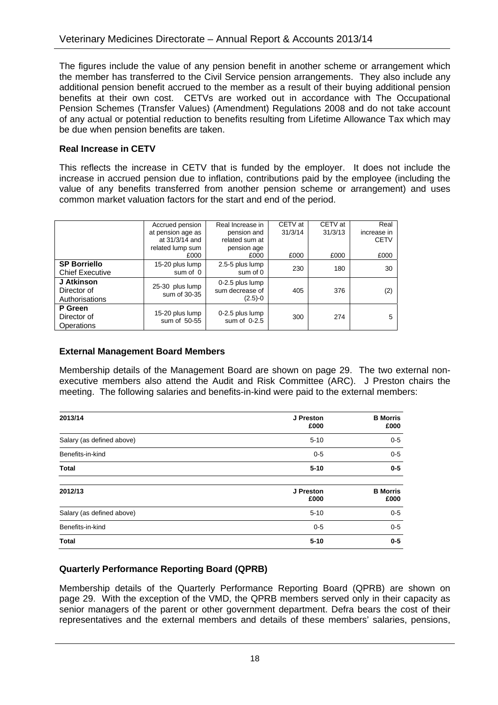The figures include the value of any pension benefit in another scheme or arrangement which the member has transferred to the Civil Service pension arrangements. They also include any additional pension benefit accrued to the member as a result of their buying additional pension benefits at their own cost. CETVs are worked out in accordance with The Occupational Pension Schemes (Transfer Values) (Amendment) Regulations 2008 and do not take account of any actual or potential reduction to benefits resulting from Lifetime Allowance Tax which may be due when pension benefits are taken.

#### **Real Increase in CETV**

This reflects the increase in CETV that is funded by the employer. It does not include the increase in accrued pension due to inflation, contributions paid by the employee (including the value of any benefits transferred from another pension scheme or arrangement) and uses common market valuation factors for the start and end of the period.

|                                             | Accrued pension                 | Real Increase in                                | CETV at | CETV at | Real        |
|---------------------------------------------|---------------------------------|-------------------------------------------------|---------|---------|-------------|
|                                             | at pension age as               | pension and                                     | 31/3/14 | 31/3/13 | increase in |
|                                             | at 31/3/14 and                  | related sum at                                  |         |         | <b>CETV</b> |
|                                             | related lump sum                | pension age                                     |         |         |             |
|                                             | £000                            | £000                                            | £000    | £000    | £000        |
| <b>SP Borriello</b>                         | 15-20 plus lump                 | 2.5-5 plus lump                                 | 230     | 180     | 30          |
| <b>Chief Executive</b>                      | sum of 0                        | sum of 0                                        |         |         |             |
| J Atkinson<br>Director of<br>Authorisations | 25-30 plus lump<br>sum of 30-35 | 0-2.5 plus lump<br>sum decrease of<br>$(2.5)-0$ | 405     | 376     | (2)         |
| P Green<br>Director of<br>Operations        | 15-20 plus lump<br>sum of 50-55 | 0-2.5 plus lump<br>sum of 0-2.5                 | 300     | 274     | 5           |

#### **External Management Board Members**

Membership details of the Management Board are shown on page 29. The two external nonexecutive members also attend the Audit and Risk Committee (ARC). J Preston chairs the meeting. The following salaries and benefits-in-kind were paid to the external members:

| 2013/14                   | J Preston<br>£000 | <b>B</b> Morris<br>£000 |
|---------------------------|-------------------|-------------------------|
| Salary (as defined above) | $5 - 10$          | $0 - 5$                 |
| Benefits-in-kind          | $0 - 5$           | $0-5$                   |
| <b>Total</b>              | $5 - 10$          | $0 - 5$                 |
| 2012/13                   | J Preston<br>£000 | <b>B</b> Morris<br>£000 |
| Salary (as defined above) | $5 - 10$          | $0-5$                   |
| Benefits-in-kind          | $0 - 5$           | $0-5$                   |
| <b>Total</b>              | $5 - 10$          | $0 - 5$                 |

#### **Quarterly Performance Reporting Board (QPRB)**

Membership details of the Quarterly Performance Reporting Board (QPRB) are shown on page 29. With the exception of the VMD, the QPRB members served only in their capacity as senior managers of the parent or other government department. Defra bears the cost of their representatives and the external members and details of these members' salaries, pensions,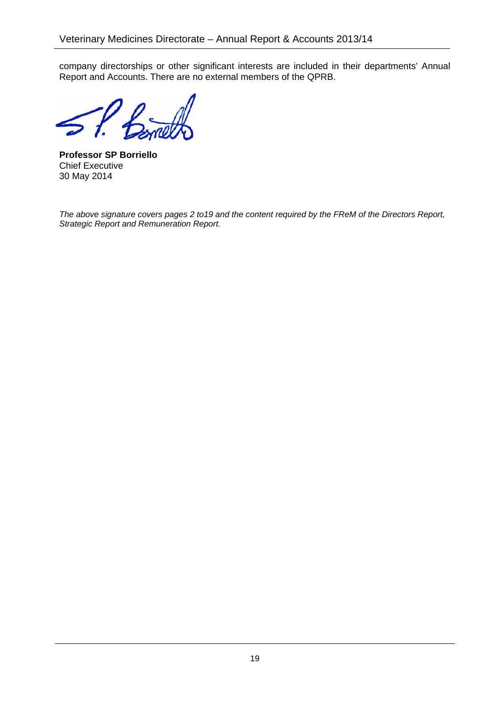company directorships or other significant interests are included in their departments' Annual Report and Accounts. There are no external members of the QPRB.

**Professor SP Borriello**  Chief Executive 30 May 2014

*The above signature covers pages 2 to19 and the content required by the FReM of the Directors Report, Strategic Report and Remuneration Report.*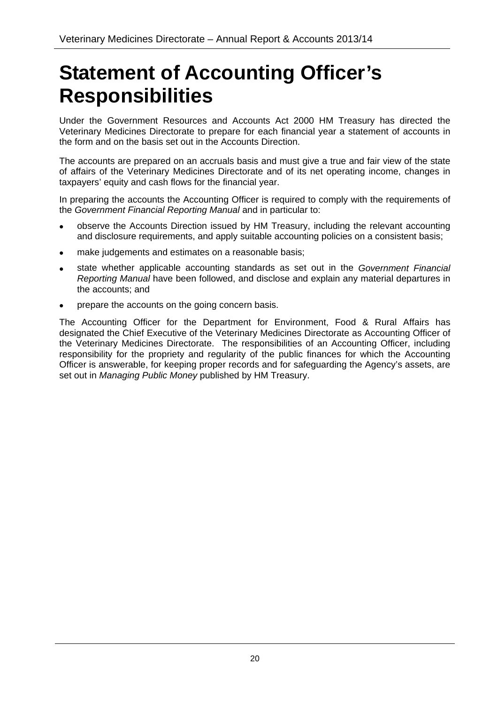# **Statement of Accounting Officer's Responsibilities**

Under the Government Resources and Accounts Act 2000 HM Treasury has directed the Veterinary Medicines Directorate to prepare for each financial year a statement of accounts in the form and on the basis set out in the Accounts Direction.

The accounts are prepared on an accruals basis and must give a true and fair view of the state of affairs of the Veterinary Medicines Directorate and of its net operating income, changes in taxpayers' equity and cash flows for the financial year.

In preparing the accounts the Accounting Officer is required to comply with the requirements of the *Government Financial Reporting Manual* and in particular to:

- observe the Accounts Direction issued by HM Treasury, including the relevant accounting and disclosure requirements, and apply suitable accounting policies on a consistent basis;
- make judgements and estimates on a reasonable basis;
- state whether applicable accounting standards as set out in the *Government Financial Reporting Manual* have been followed, and disclose and explain any material departures in the accounts; and
- prepare the accounts on the going concern basis.

The Accounting Officer for the Department for Environment, Food & Rural Affairs has designated the Chief Executive of the Veterinary Medicines Directorate as Accounting Officer of the Veterinary Medicines Directorate. The responsibilities of an Accounting Officer, including responsibility for the propriety and regularity of the public finances for which the Accounting Officer is answerable, for keeping proper records and for safeguarding the Agency's assets, are set out in *Managing Public Money* published by HM Treasury.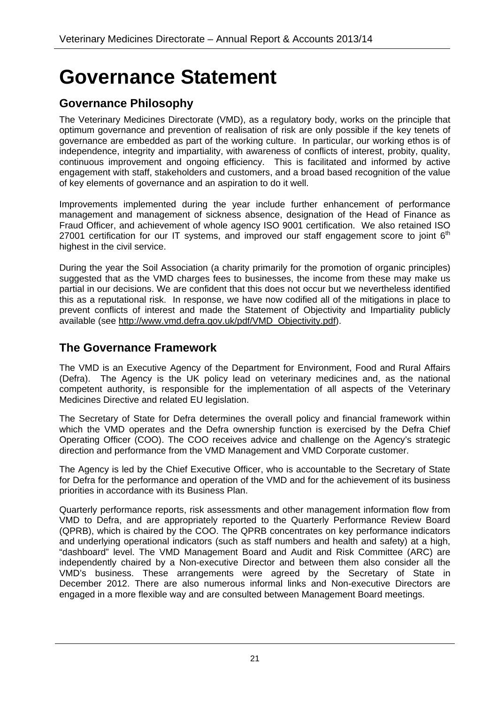# **Governance Statement**

### **Governance Philosophy**

The Veterinary Medicines Directorate (VMD), as a regulatory body, works on the principle that optimum governance and prevention of realisation of risk are only possible if the key tenets of governance are embedded as part of the working culture. In particular, our working ethos is of independence, integrity and impartiality, with awareness of conflicts of interest, probity, quality, continuous improvement and ongoing efficiency. This is facilitated and informed by active engagement with staff, stakeholders and customers, and a broad based recognition of the value of key elements of governance and an aspiration to do it well.

Improvements implemented during the year include further enhancement of performance management and management of sickness absence, designation of the Head of Finance as Fraud Officer, and achievement of whole agency ISO 9001 certification. We also retained ISO 27001 certification for our IT systems, and improved our staff engagement score to joint  $6<sup>th</sup>$ highest in the civil service.

During the year the Soil Association (a charity primarily for the promotion of organic principles) suggested that as the VMD charges fees to businesses, the income from these may make us partial in our decisions. We are confident that this does not occur but we nevertheless identified this as a reputational risk. In response, we have now codified all of the mitigations in place to prevent conflicts of interest and made the Statement of Objectivity and Impartiality publicly available (see http://www.vmd.defra.gov.uk/pdf/VMD\_Objectivity.pdf).

### **The Governance Framework**

The VMD is an Executive Agency of the Department for Environment, Food and Rural Affairs (Defra). The Agency is the UK policy lead on veterinary medicines and, as the national competent authority, is responsible for the implementation of all aspects of the Veterinary Medicines Directive and related EU legislation.

The Secretary of State for Defra determines the overall policy and financial framework within which the VMD operates and the Defra ownership function is exercised by the Defra Chief Operating Officer (COO). The COO receives advice and challenge on the Agency's strategic direction and performance from the VMD Management and VMD Corporate customer.

The Agency is led by the Chief Executive Officer, who is accountable to the Secretary of State for Defra for the performance and operation of the VMD and for the achievement of its business priorities in accordance with its Business Plan.

Quarterly performance reports, risk assessments and other management information flow from VMD to Defra, and are appropriately reported to the Quarterly Performance Review Board (QPRB), which is chaired by the COO. The QPRB concentrates on key performance indicators and underlying operational indicators (such as staff numbers and health and safety) at a high, "dashboard" level. The VMD Management Board and Audit and Risk Committee (ARC) are independently chaired by a Non-executive Director and between them also consider all the VMD's business. These arrangements were agreed by the Secretary of State in December 2012. There are also numerous informal links and Non-executive Directors are engaged in a more flexible way and are consulted between Management Board meetings.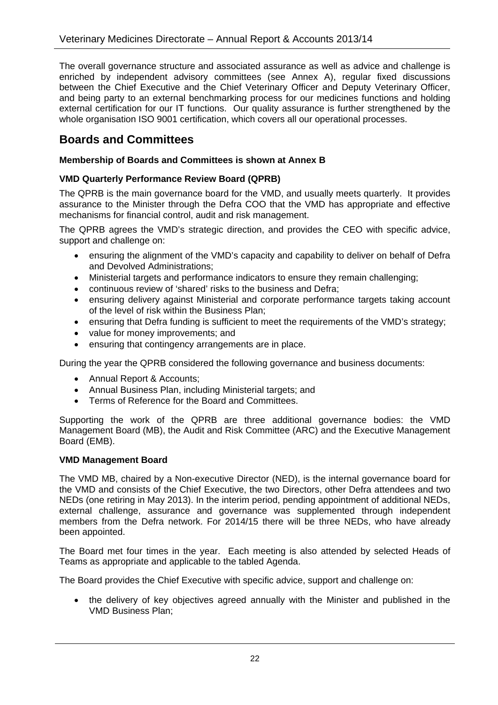The overall governance structure and associated assurance as well as advice and challenge is enriched by independent advisory committees (see Annex A), regular fixed discussions between the Chief Executive and the Chief Veterinary Officer and Deputy Veterinary Officer, and being party to an external benchmarking process for our medicines functions and holding external certification for our IT functions. Our quality assurance is further strengthened by the whole organisation ISO 9001 certification, which covers all our operational processes.

### **Boards and Committees**

#### **Membership of Boards and Committees is shown at Annex B**

#### **VMD Quarterly Performance Review Board (QPRB)**

The QPRB is the main governance board for the VMD, and usually meets quarterly. It provides assurance to the Minister through the Defra COO that the VMD has appropriate and effective mechanisms for financial control, audit and risk management.

The QPRB agrees the VMD's strategic direction, and provides the CEO with specific advice, support and challenge on:

- ensuring the alignment of the VMD's capacity and capability to deliver on behalf of Defra and Devolved Administrations;
- Ministerial targets and performance indicators to ensure they remain challenging;
- continuous review of 'shared' risks to the business and Defra;
- ensuring delivery against Ministerial and corporate performance targets taking account of the level of risk within the Business Plan;
- ensuring that Defra funding is sufficient to meet the requirements of the VMD's strategy;
- value for money improvements; and
- ensuring that contingency arrangements are in place.

During the year the QPRB considered the following governance and business documents:

- Annual Report & Accounts;
- Annual Business Plan, including Ministerial targets; and
- Terms of Reference for the Board and Committees.

Supporting the work of the QPRB are three additional governance bodies: the VMD Management Board (MB), the Audit and Risk Committee (ARC) and the Executive Management Board (EMB).

#### **VMD Management Board**

The VMD MB, chaired by a Non-executive Director (NED), is the internal governance board for the VMD and consists of the Chief Executive, the two Directors, other Defra attendees and two NEDs (one retiring in May 2013). In the interim period, pending appointment of additional NEDs, external challenge, assurance and governance was supplemented through independent members from the Defra network. For 2014/15 there will be three NEDs, who have already been appointed.

The Board met four times in the year. Each meeting is also attended by selected Heads of Teams as appropriate and applicable to the tabled Agenda.

The Board provides the Chief Executive with specific advice, support and challenge on:

 the delivery of key objectives agreed annually with the Minister and published in the VMD Business Plan;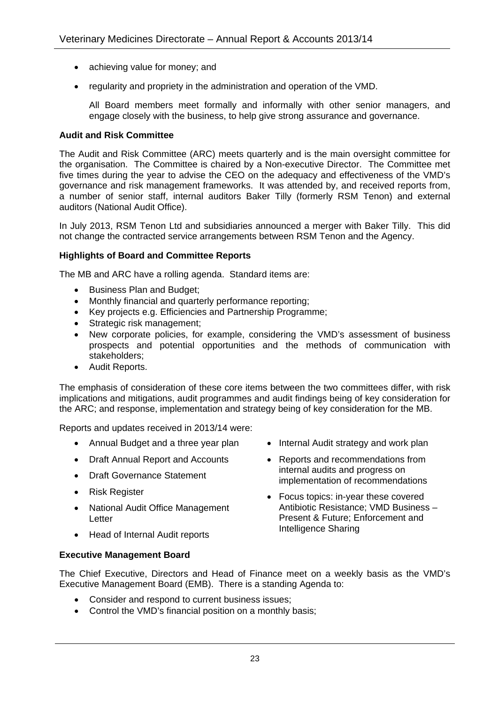- achieving value for money; and
- regularity and propriety in the administration and operation of the VMD.

All Board members meet formally and informally with other senior managers, and engage closely with the business, to help give strong assurance and governance.

#### **Audit and Risk Committee**

The Audit and Risk Committee (ARC) meets quarterly and is the main oversight committee for the organisation. The Committee is chaired by a Non-executive Director. The Committee met five times during the year to advise the CEO on the adequacy and effectiveness of the VMD's governance and risk management frameworks. It was attended by, and received reports from, a number of senior staff, internal auditors Baker Tilly (formerly RSM Tenon) and external auditors (National Audit Office).

In July 2013, RSM Tenon Ltd and subsidiaries announced a merger with Baker Tilly. This did not change the contracted service arrangements between RSM Tenon and the Agency.

#### **Highlights of Board and Committee Reports**

The MB and ARC have a rolling agenda. Standard items are:

- Business Plan and Budget;
- Monthly financial and quarterly performance reporting;
- Key projects e.g. Efficiencies and Partnership Programme:
- Strategic risk management:
- New corporate policies, for example, considering the VMD's assessment of business prospects and potential opportunities and the methods of communication with stakeholders;
- Audit Reports.

The emphasis of consideration of these core items between the two committees differ, with risk implications and mitigations, audit programmes and audit findings being of key consideration for the ARC; and response, implementation and strategy being of key consideration for the MB.

Reports and updates received in 2013/14 were:

- Annual Budget and a three year plan
- Draft Annual Report and Accounts
- Draft Governance Statement
- Risk Register
- National Audit Office Management Letter
- Internal Audit strategy and work plan
- Reports and recommendations from internal audits and progress on implementation of recommendations
- Focus topics: in-year these covered Antibiotic Resistance; VMD Business – Present & Future; Enforcement and Intelligence Sharing
- Head of Internal Audit reports

#### **Executive Management Board**

The Chief Executive, Directors and Head of Finance meet on a weekly basis as the VMD's Executive Management Board (EMB). There is a standing Agenda to:

- Consider and respond to current business issues;
- Control the VMD's financial position on a monthly basis;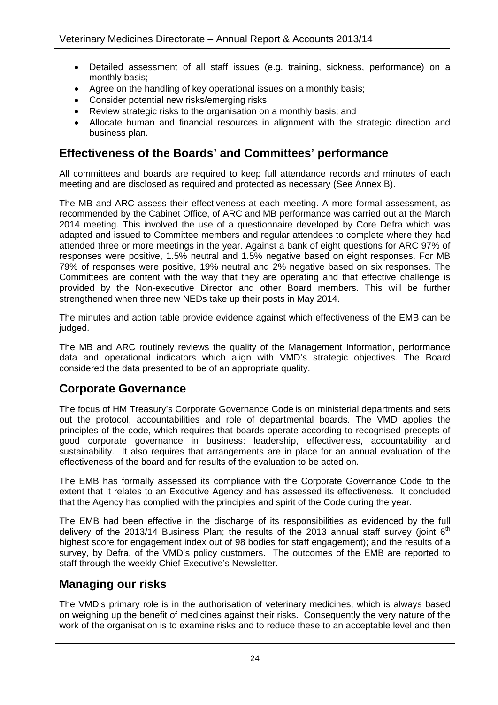- Detailed assessment of all staff issues (e.g. training, sickness, performance) on a monthly basis;
- Agree on the handling of key operational issues on a monthly basis;
- Consider potential new risks/emerging risks;
- Review strategic risks to the organisation on a monthly basis; and
- Allocate human and financial resources in alignment with the strategic direction and business plan.

### **Effectiveness of the Boards' and Committees' performance**

All committees and boards are required to keep full attendance records and minutes of each meeting and are disclosed as required and protected as necessary (See Annex B).

The MB and ARC assess their effectiveness at each meeting. A more formal assessment, as recommended by the Cabinet Office, of ARC and MB performance was carried out at the March 2014 meeting. This involved the use of a questionnaire developed by Core Defra which was adapted and issued to Committee members and regular attendees to complete where they had attended three or more meetings in the year. Against a bank of eight questions for ARC 97% of responses were positive, 1.5% neutral and 1.5% negative based on eight responses. For MB 79% of responses were positive, 19% neutral and 2% negative based on six responses. The Committees are content with the way that they are operating and that effective challenge is provided by the Non-executive Director and other Board members. This will be further strengthened when three new NEDs take up their posts in May 2014.

The minutes and action table provide evidence against which effectiveness of the EMB can be judged.

The MB and ARC routinely reviews the quality of the Management Information, performance data and operational indicators which align with VMD's strategic objectives. The Board considered the data presented to be of an appropriate quality.

### **Corporate Governance**

The focus of HM Treasury's Corporate Governance Code is on ministerial departments and sets out the protocol, accountabilities and role of departmental boards. The VMD applies the principles of the code, which requires that boards operate according to recognised precepts of good corporate governance in business: leadership, effectiveness, accountability and sustainability. It also requires that arrangements are in place for an annual evaluation of the effectiveness of the board and for results of the evaluation to be acted on.

The EMB has formally assessed its compliance with the Corporate Governance Code to the extent that it relates to an Executive Agency and has assessed its effectiveness. It concluded that the Agency has complied with the principles and spirit of the Code during the year.

The EMB had been effective in the discharge of its responsibilities as evidenced by the full delivery of the 2013/14 Business Plan; the results of the 2013 annual staff survey (joint  $6<sup>th</sup>$ highest score for engagement index out of 98 bodies for staff engagement); and the results of a survey, by Defra, of the VMD's policy customers. The outcomes of the EMB are reported to staff through the weekly Chief Executive's Newsletter.

### **Managing our risks**

The VMD's primary role is in the authorisation of veterinary medicines, which is always based on weighing up the benefit of medicines against their risks. Consequently the very nature of the work of the organisation is to examine risks and to reduce these to an acceptable level and then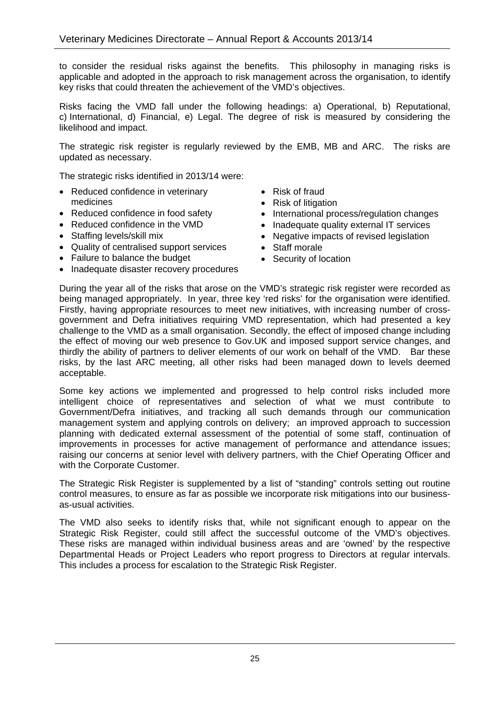to consider the residual risks against the benefits. This philosophy in managing risks is applicable and adopted in the approach to risk management across the organisation, to identify key risks that could threaten the achievement of the VMD's objectives.

Risks facing the VMD fall under the following headings: a) Operational, b) Reputational, c) International, d) Financial, e) Legal. The degree of risk is measured by considering the likelihood and impact.

The strategic risk register is regularly reviewed by the EMB, MB and ARC. The risks are updated as necessary.

The strategic risks identified in 2013/14 were:

- Reduced confidence in veterinary medicines
- Reduced confidence in food safety
- Reduced confidence in the VMD
- Staffing levels/skill mix
- Quality of centralised support services
- Failure to balance the budget
- Inadequate disaster recovery procedures
- Risk of fraud
- Risk of litigation
- International process/regulation changes
- Inadequate quality external IT services
- Negative impacts of revised legislation
- Staff morale
- Security of location

During the year all of the risks that arose on the VMD's strategic risk register were recorded as being managed appropriately. In year, three key 'red risks' for the organisation were identified. Firstly, having appropriate resources to meet new initiatives, with increasing number of crossgovernment and Defra initiatives requiring VMD representation, which had presented a key challenge to the VMD as a small organisation. Secondly, the effect of imposed change including the effect of moving our web presence to Gov.UK and imposed support service changes, and thirdly the ability of partners to deliver elements of our work on behalf of the VMD. Bar these risks, by the last ARC meeting, all other risks had been managed down to levels deemed acceptable.

Some key actions we implemented and progressed to help control risks included more intelligent choice of representatives and selection of what we must contribute to Government/Defra initiatives, and tracking all such demands through our communication management system and applying controls on delivery; an improved approach to succession planning with dedicated external assessment of the potential of some staff, continuation of improvements in processes for active management of performance and attendance issues; raising our concerns at senior level with delivery partners, with the Chief Operating Officer and with the Corporate Customer.

The Strategic Risk Register is supplemented by a list of "standing" controls setting out routine control measures, to ensure as far as possible we incorporate risk mitigations into our businessas-usual activities.

The VMD also seeks to identify risks that, while not significant enough to appear on the Strategic Risk Register, could still affect the successful outcome of the VMD's objectives. These risks are managed within individual business areas and are 'owned' by the respective Departmental Heads or Project Leaders who report progress to Directors at regular intervals. This includes a process for escalation to the Strategic Risk Register.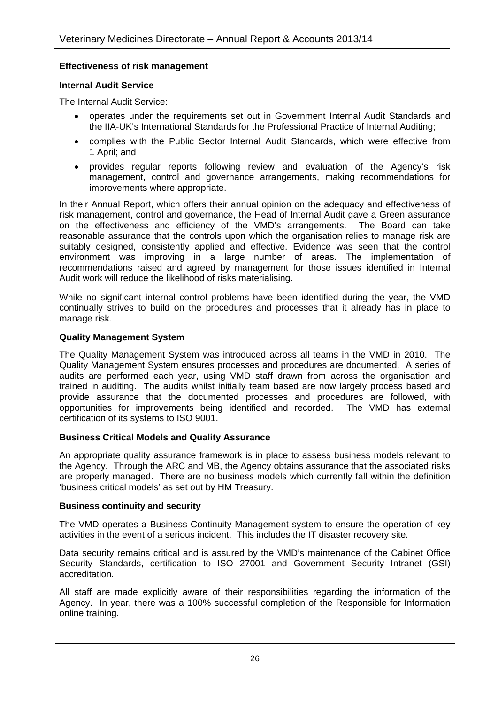#### **Effectiveness of risk management**

#### **Internal Audit Service**

The Internal Audit Service:

- operates under the requirements set out in Government Internal Audit Standards and the IIA-UK's International Standards for the Professional Practice of Internal Auditing;
- complies with the Public Sector Internal Audit Standards, which were effective from 1 April; and
- provides regular reports following review and evaluation of the Agency's risk management, control and governance arrangements, making recommendations for improvements where appropriate.

In their Annual Report, which offers their annual opinion on the adequacy and effectiveness of risk management, control and governance, the Head of Internal Audit gave a Green assurance on the effectiveness and efficiency of the VMD's arrangements. The Board can take reasonable assurance that the controls upon which the organisation relies to manage risk are suitably designed, consistently applied and effective. Evidence was seen that the control environment was improving in a large number of areas. The implementation of recommendations raised and agreed by management for those issues identified in Internal Audit work will reduce the likelihood of risks materialising.

While no significant internal control problems have been identified during the year, the VMD continually strives to build on the procedures and processes that it already has in place to manage risk.

#### **Quality Management System**

The Quality Management System was introduced across all teams in the VMD in 2010. The Quality Management System ensures processes and procedures are documented. A series of audits are performed each year, using VMD staff drawn from across the organisation and trained in auditing. The audits whilst initially team based are now largely process based and provide assurance that the documented processes and procedures are followed, with opportunities for improvements being identified and recorded. The VMD has external certification of its systems to ISO 9001.

#### **Business Critical Models and Quality Assurance**

An appropriate quality assurance framework is in place to assess business models relevant to the Agency. Through the ARC and MB, the Agency obtains assurance that the associated risks are properly managed. There are no business models which currently fall within the definition 'business critical models' as set out by HM Treasury.

#### **Business continuity and security**

The VMD operates a Business Continuity Management system to ensure the operation of key activities in the event of a serious incident. This includes the IT disaster recovery site.

Data security remains critical and is assured by the VMD's maintenance of the Cabinet Office Security Standards, certification to ISO 27001 and Government Security Intranet (GSI) accreditation.

All staff are made explicitly aware of their responsibilities regarding the information of the Agency. In year, there was a 100% successful completion of the Responsible for Information online training.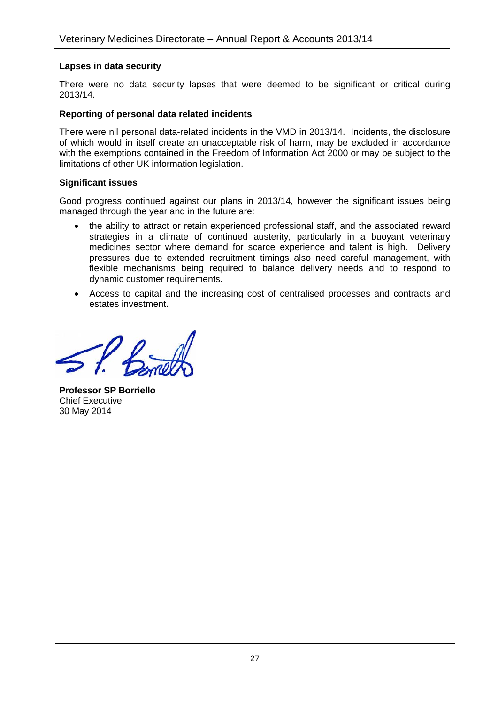#### **Lapses in data security**

There were no data security lapses that were deemed to be significant or critical during 2013/14.

#### **Reporting of personal data related incidents**

There were nil personal data-related incidents in the VMD in 2013/14. Incidents, the disclosure of which would in itself create an unacceptable risk of harm, may be excluded in accordance with the exemptions contained in the Freedom of Information Act 2000 or may be subject to the limitations of other UK information legislation.

#### **Significant issues**

Good progress continued against our plans in 2013/14, however the significant issues being managed through the year and in the future are:

- the ability to attract or retain experienced professional staff, and the associated reward strategies in a climate of continued austerity, particularly in a buoyant veterinary medicines sector where demand for scarce experience and talent is high. Delivery pressures due to extended recruitment timings also need careful management, with flexible mechanisms being required to balance delivery needs and to respond to dynamic customer requirements.
- Access to capital and the increasing cost of centralised processes and contracts and estates investment.

**Professor SP Borriello** Chief Executive 30 May 2014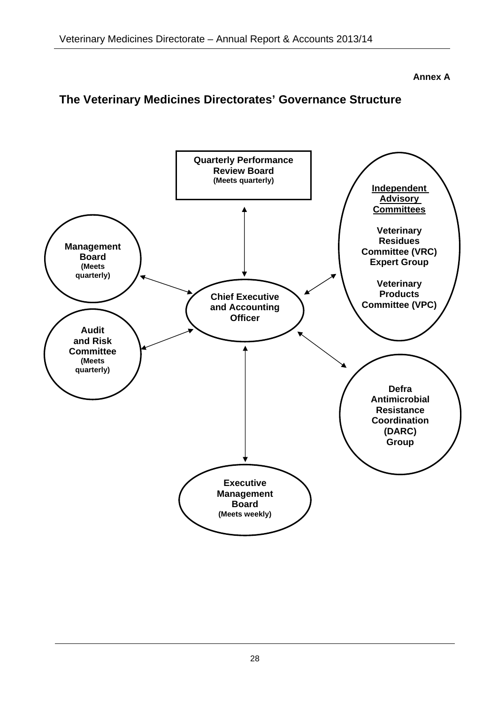**Annex A** 

### **The Veterinary Medicines Directorates' Governance Structure**

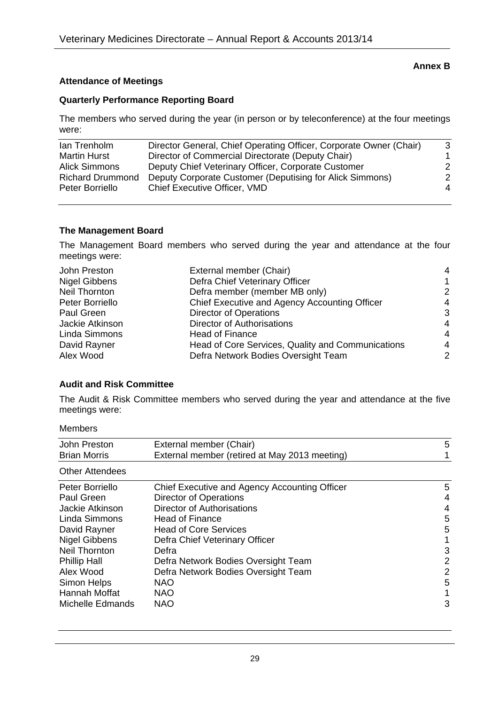#### **Annex B**

#### **Attendance of Meetings**

#### **Quarterly Performance Reporting Board**

The members who served during the year (in person or by teleconference) at the four meetings were:

| Ian Trenholm            | Director General, Chief Operating Officer, Corporate Owner (Chair) | 3 |
|-------------------------|--------------------------------------------------------------------|---|
| <b>Martin Hurst</b>     | Director of Commercial Directorate (Deputy Chair)                  |   |
| Alick Simmons           | Deputy Chief Veterinary Officer, Corporate Customer                | 2 |
| <b>Richard Drummond</b> | Deputy Corporate Customer (Deputising for Alick Simmons)           | 2 |
| Peter Borriello         | <b>Chief Executive Officer, VMD</b>                                | 4 |
|                         |                                                                    |   |

#### **The Management Board**

The Management Board members who served during the year and attendance at the four meetings were:

| John Preston         | External member (Chair)                           | 4 |
|----------------------|---------------------------------------------------|---|
| <b>Nigel Gibbens</b> | Defra Chief Veterinary Officer                    | 1 |
| Neil Thornton        | Defra member (member MB only)                     | 2 |
| Peter Borriello      | Chief Executive and Agency Accounting Officer     | 4 |
| Paul Green           | <b>Director of Operations</b>                     | 3 |
| Jackie Atkinson      | <b>Director of Authorisations</b>                 | 4 |
| Linda Simmons        | <b>Head of Finance</b>                            | 4 |
| David Rayner         | Head of Core Services, Quality and Communications | 4 |
| Alex Wood            | Defra Network Bodies Oversight Team               | 2 |

#### **Audit and Risk Committee**

The Audit & Risk Committee members who served during the year and attendance at the five meetings were:

| John Preston           | External member (Chair)                       | 5 |
|------------------------|-----------------------------------------------|---|
| <b>Brian Morris</b>    | External member (retired at May 2013 meeting) |   |
| <b>Other Attendees</b> |                                               |   |
| Peter Borriello        | Chief Executive and Agency Accounting Officer | 5 |
| Paul Green             | <b>Director of Operations</b>                 | 4 |
| Jackie Atkinson        | <b>Director of Authorisations</b>             | 4 |
| Linda Simmons          | <b>Head of Finance</b>                        | 5 |
| David Rayner           | <b>Head of Core Services</b>                  | 5 |
| <b>Nigel Gibbens</b>   | Defra Chief Veterinary Officer                |   |
| Neil Thornton          | Defra                                         | 3 |
| <b>Phillip Hall</b>    | Defra Network Bodies Oversight Team           | 2 |
| Alex Wood              | Defra Network Bodies Oversight Team           | 2 |
| Simon Helps            | <b>NAO</b>                                    | 5 |
| Hannah Moffat          | <b>NAO</b>                                    |   |
| Michelle Edmands       | <b>NAO</b>                                    | 3 |
|                        |                                               |   |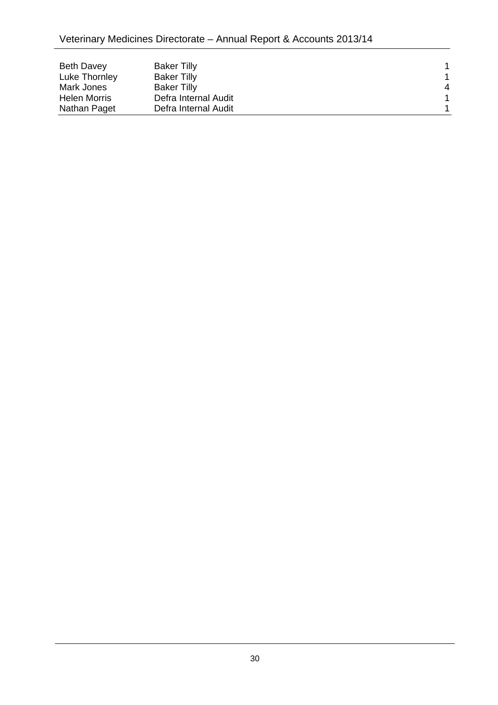| <b>Beth Davey</b>   | <b>Baker Tilly</b>   |   |
|---------------------|----------------------|---|
| Luke Thornley       | <b>Baker Tilly</b>   |   |
| Mark Jones          | <b>Baker Tilly</b>   | 4 |
| <b>Helen Morris</b> | Defra Internal Audit |   |
| Nathan Paget        | Defra Internal Audit |   |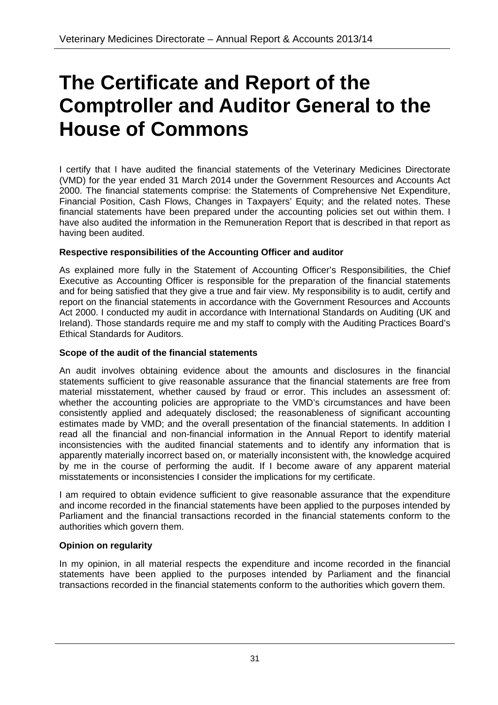# **The Certificate and Report of the Comptroller and Auditor General to the House of Commons**

I certify that I have audited the financial statements of the Veterinary Medicines Directorate (VMD) for the year ended 31 March 2014 under the Government Resources and Accounts Act 2000. The financial statements comprise: the Statements of Comprehensive Net Expenditure, Financial Position, Cash Flows, Changes in Taxpayers' Equity; and the related notes. These financial statements have been prepared under the accounting policies set out within them. I have also audited the information in the Remuneration Report that is described in that report as having been audited.

#### **Respective responsibilities of the Accounting Officer and auditor**

As explained more fully in the Statement of Accounting Officer's Responsibilities, the Chief Executive as Accounting Officer is responsible for the preparation of the financial statements and for being satisfied that they give a true and fair view. My responsibility is to audit, certify and report on the financial statements in accordance with the Government Resources and Accounts Act 2000. I conducted my audit in accordance with International Standards on Auditing (UK and Ireland). Those standards require me and my staff to comply with the Auditing Practices Board's Ethical Standards for Auditors.

#### **Scope of the audit of the financial statements**

An audit involves obtaining evidence about the amounts and disclosures in the financial statements sufficient to give reasonable assurance that the financial statements are free from material misstatement, whether caused by fraud or error. This includes an assessment of: whether the accounting policies are appropriate to the VMD's circumstances and have been consistently applied and adequately disclosed; the reasonableness of significant accounting estimates made by VMD; and the overall presentation of the financial statements. In addition I read all the financial and non-financial information in the Annual Report to identify material inconsistencies with the audited financial statements and to identify any information that is apparently materially incorrect based on, or materially inconsistent with, the knowledge acquired by me in the course of performing the audit. If I become aware of any apparent material misstatements or inconsistencies I consider the implications for my certificate.

I am required to obtain evidence sufficient to give reasonable assurance that the expenditure and income recorded in the financial statements have been applied to the purposes intended by Parliament and the financial transactions recorded in the financial statements conform to the authorities which govern them.

#### **Opinion on regularity**

In my opinion, in all material respects the expenditure and income recorded in the financial statements have been applied to the purposes intended by Parliament and the financial transactions recorded in the financial statements conform to the authorities which govern them.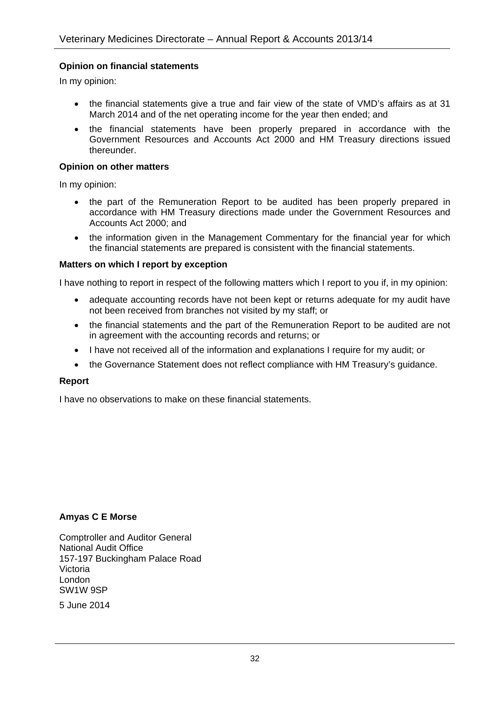#### **Opinion on financial statements**

In my opinion:

- the financial statements give a true and fair view of the state of VMD's affairs as at 31 March 2014 and of the net operating income for the year then ended; and
- the financial statements have been properly prepared in accordance with the Government Resources and Accounts Act 2000 and HM Treasury directions issued thereunder.

#### **Opinion on other matters**

In my opinion:

- the part of the Remuneration Report to be audited has been properly prepared in accordance with HM Treasury directions made under the Government Resources and Accounts Act 2000; and
- the information given in the Management Commentary for the financial year for which the financial statements are prepared is consistent with the financial statements.

#### **Matters on which I report by exception**

I have nothing to report in respect of the following matters which I report to you if, in my opinion:

- adequate accounting records have not been kept or returns adequate for my audit have not been received from branches not visited by my staff; or
- the financial statements and the part of the Remuneration Report to be audited are not in agreement with the accounting records and returns; or
- I have not received all of the information and explanations I require for my audit; or
- the Governance Statement does not reflect compliance with HM Treasury's guidance.

#### **Report**

I have no observations to make on these financial statements.

#### **Amyas C E Morse**

Comptroller and Auditor General National Audit Office 157-197 Buckingham Palace Road Victoria London SW1W 9SP

5 June 2014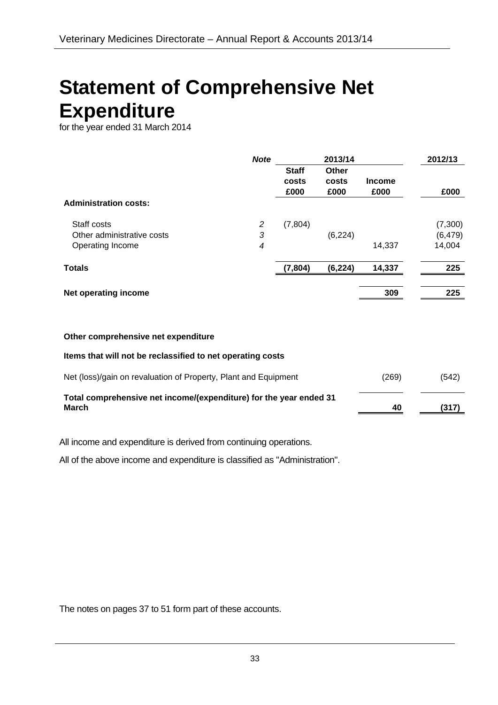# **Statement of Comprehensive Net Expenditure**<br>for the year ended 31 March 2014

|                              | <b>Note</b> |              | 2013/14  |               | 2012/13  |
|------------------------------|-------------|--------------|----------|---------------|----------|
|                              |             | <b>Staff</b> | Other    |               |          |
|                              |             | costs        | costs    | <b>Income</b> |          |
|                              |             | £000         | £000     | £000          | £000     |
| <b>Administration costs:</b> |             |              |          |               |          |
| Staff costs                  | 2           | (7,804)      |          |               | (7,300)  |
| Other administrative costs   | 3           |              | (6, 224) |               | (6, 479) |
| Operating Income             | 4           |              |          | 14,337        | 14,004   |
| <b>Totals</b>                |             | (7, 804)     | (6, 224) | 14,337        | 225      |
| Net operating income         |             |              |          | 309           | 225      |

#### **Other comprehensive net expenditure**

**Items that will not be reclassified to net operating costs** 

| Net (loss)/gain on revaluation of Property, Plant and Equipment             | (269) | (542) |
|-----------------------------------------------------------------------------|-------|-------|
| Total comprehensive net income/(expenditure) for the year ended 31<br>March | 40    | (317) |

All income and expenditure is derived from continuing operations.

All of the above income and expenditure is classified as "Administration".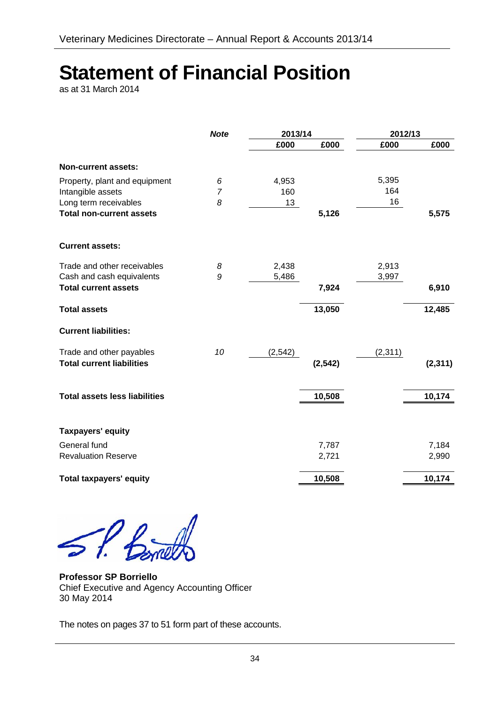# **Statement of Financial Position**

as at 31 March 2014

|                                      | <b>Note</b>    | 2013/14  |          | 2012/13  |          |
|--------------------------------------|----------------|----------|----------|----------|----------|
|                                      |                | £000     | £000     | £000     | £000     |
| <b>Non-current assets:</b>           |                |          |          |          |          |
| Property, plant and equipment        | 6              | 4,953    |          | 5,395    |          |
| Intangible assets                    | $\overline{7}$ | 160      |          | 164      |          |
| Long term receivables                | 8              | 13       |          | 16       |          |
| <b>Total non-current assets</b>      |                |          | 5,126    |          | 5,575    |
| <b>Current assets:</b>               |                |          |          |          |          |
| Trade and other receivables          | 8              | 2,438    |          | 2,913    |          |
| Cash and cash equivalents            | 9              | 5,486    |          | 3,997    |          |
| <b>Total current assets</b>          |                |          | 7,924    |          | 6,910    |
| <b>Total assets</b>                  |                |          | 13,050   |          | 12,485   |
| <b>Current liabilities:</b>          |                |          |          |          |          |
| Trade and other payables             | 10             | (2, 542) |          | (2, 311) |          |
| <b>Total current liabilities</b>     |                |          | (2, 542) |          | (2, 311) |
| <b>Total assets less liabilities</b> |                |          | 10,508   |          | 10,174   |
|                                      |                |          |          |          |          |
| <b>Taxpayers' equity</b>             |                |          |          |          |          |
| General fund                         |                |          | 7,787    |          | 7,184    |
| <b>Revaluation Reserve</b>           |                |          | 2,721    |          | 2,990    |
| <b>Total taxpayers' equity</b>       |                |          | 10,508   |          | 10,174   |

SP. Bornel

**Professor SP Borriello** Chief Executive and Agency Accounting Officer 30 May 2014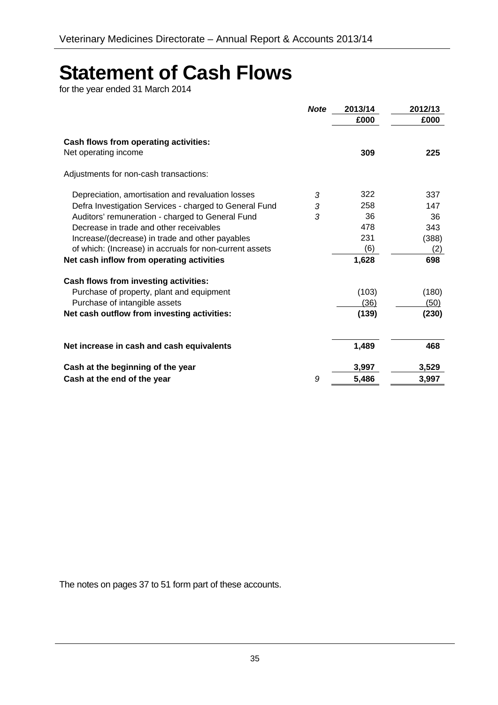# **Statement of Cash Flows** for the year ended 31 March 2014

|                                                                      | <b>Note</b> | 2013/14 | 2012/13     |
|----------------------------------------------------------------------|-------------|---------|-------------|
|                                                                      |             | £000    | £000        |
| <b>Cash flows from operating activities:</b><br>Net operating income |             | 309     | 225         |
| Adjustments for non-cash transactions:                               |             |         |             |
| Depreciation, amortisation and revaluation losses                    | 3           | 322     | 337         |
| Defra Investigation Services - charged to General Fund               | 3           | 258     | 147         |
| Auditors' remuneration - charged to General Fund                     | 3           | 36      | 36          |
| Decrease in trade and other receivables                              |             | 478     | 343         |
| Increase/(decrease) in trade and other payables                      |             | 231     | (388)       |
| of which: (Increase) in accruals for non-current assets              |             | (6)     | (2)         |
| Net cash inflow from operating activities                            |             | 1,628   | 698         |
| Cash flows from investing activities:                                |             |         |             |
| Purchase of property, plant and equipment                            |             | (103)   | (180)       |
| Purchase of intangible assets                                        |             | (36)    | <u>(50)</u> |
| Net cash outflow from investing activities:                          |             | (139)   | (230)       |
| Net increase in cash and cash equivalents                            |             | 1,489   | 468         |
| Cash at the beginning of the year                                    |             | 3,997   | 3,529       |
| Cash at the end of the year                                          | 9           | 5,486   | 3,997       |
|                                                                      |             |         |             |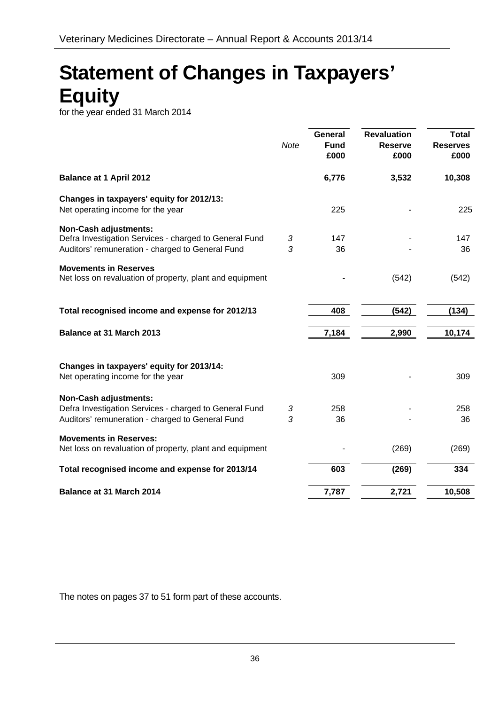# **Statement of Changes in Taxpayers' Equity** for the year ended 31 March 2014

|                                                                                                                                            | <b>Note</b> | <b>General</b><br><b>Fund</b><br>£000 | <b>Revaluation</b><br><b>Reserve</b><br>£000 | <b>Total</b><br><b>Reserves</b><br>£000 |
|--------------------------------------------------------------------------------------------------------------------------------------------|-------------|---------------------------------------|----------------------------------------------|-----------------------------------------|
| <b>Balance at 1 April 2012</b>                                                                                                             |             | 6,776                                 | 3,532                                        | 10,308                                  |
| Changes in taxpayers' equity for 2012/13:<br>Net operating income for the year                                                             |             | 225                                   |                                              | 225                                     |
| <b>Non-Cash adjustments:</b><br>Defra Investigation Services - charged to General Fund<br>Auditors' remuneration - charged to General Fund | 3<br>3      | 147<br>36                             |                                              | 147<br>36                               |
| <b>Movements in Reserves</b><br>Net loss on revaluation of property, plant and equipment                                                   |             |                                       | (542)                                        | (542)                                   |
| Total recognised income and expense for 2012/13                                                                                            |             | 408                                   | (542)                                        | (134)                                   |
| Balance at 31 March 2013                                                                                                                   |             | 7,184                                 | 2,990                                        | 10,174                                  |
| Changes in taxpayers' equity for 2013/14:<br>Net operating income for the year                                                             |             | 309                                   |                                              | 309                                     |
| <b>Non-Cash adjustments:</b><br>Defra Investigation Services - charged to General Fund<br>Auditors' remuneration - charged to General Fund | 3<br>3      | 258<br>36                             |                                              | 258<br>36                               |
| <b>Movements in Reserves:</b><br>Net loss on revaluation of property, plant and equipment                                                  |             |                                       | (269)                                        | (269)                                   |
| Total recognised income and expense for 2013/14                                                                                            |             | 603                                   | (269)                                        | 334                                     |
| <b>Balance at 31 March 2014</b>                                                                                                            |             | 7,787                                 | 2,721                                        | 10,508                                  |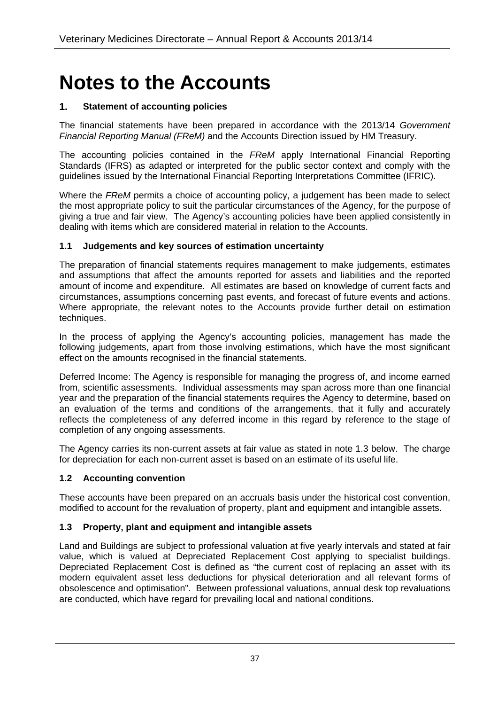# **Notes to the Accounts**

#### **1. Statement of accounting policies**

The financial statements have been prepared in accordance with the 2013/14 *Government Financial Reporting Manual (FReM)* and the Accounts Direction issued by HM Treasury.

The accounting policies contained in the *FReM* apply International Financial Reporting Standards (IFRS) as adapted or interpreted for the public sector context and comply with the guidelines issued by the International Financial Reporting Interpretations Committee (IFRIC).

Where the *FReM* permits a choice of accounting policy, a judgement has been made to select the most appropriate policy to suit the particular circumstances of the Agency, for the purpose of giving a true and fair view. The Agency's accounting policies have been applied consistently in dealing with items which are considered material in relation to the Accounts.

#### **1.1 Judgements and key sources of estimation uncertainty**

The preparation of financial statements requires management to make judgements, estimates and assumptions that affect the amounts reported for assets and liabilities and the reported amount of income and expenditure. All estimates are based on knowledge of current facts and circumstances, assumptions concerning past events, and forecast of future events and actions. Where appropriate, the relevant notes to the Accounts provide further detail on estimation techniques.

In the process of applying the Agency's accounting policies, management has made the following judgements, apart from those involving estimations, which have the most significant effect on the amounts recognised in the financial statements.

Deferred Income: The Agency is responsible for managing the progress of, and income earned from, scientific assessments. Individual assessments may span across more than one financial year and the preparation of the financial statements requires the Agency to determine, based on an evaluation of the terms and conditions of the arrangements, that it fully and accurately reflects the completeness of any deferred income in this regard by reference to the stage of completion of any ongoing assessments.

The Agency carries its non-current assets at fair value as stated in note 1.3 below. The charge for depreciation for each non-current asset is based on an estimate of its useful life.

#### **1.2 Accounting convention**

These accounts have been prepared on an accruals basis under the historical cost convention, modified to account for the revaluation of property, plant and equipment and intangible assets.

#### **1.3 Property, plant and equipment and intangible assets**

Land and Buildings are subject to professional valuation at five yearly intervals and stated at fair value, which is valued at Depreciated Replacement Cost applying to specialist buildings. Depreciated Replacement Cost is defined as "the current cost of replacing an asset with its modern equivalent asset less deductions for physical deterioration and all relevant forms of obsolescence and optimisation". Between professional valuations, annual desk top revaluations are conducted, which have regard for prevailing local and national conditions.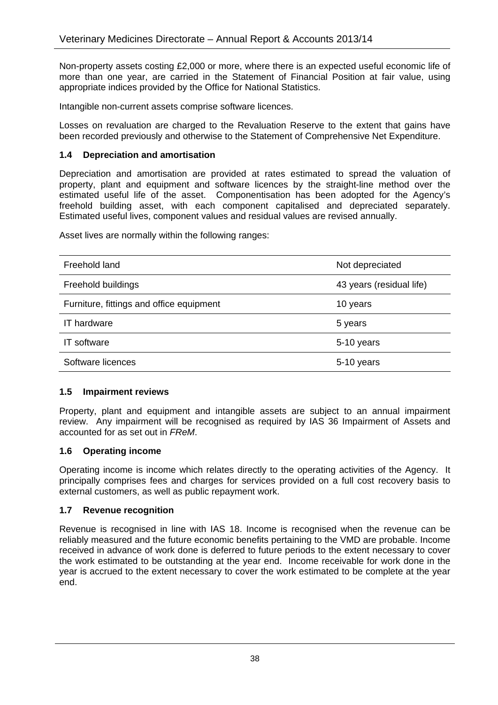Non-property assets costing £2,000 or more, where there is an expected useful economic life of more than one year, are carried in the Statement of Financial Position at fair value, using appropriate indices provided by the Office for National Statistics.

Intangible non-current assets comprise software licences.

Losses on revaluation are charged to the Revaluation Reserve to the extent that gains have been recorded previously and otherwise to the Statement of Comprehensive Net Expenditure.

#### **1.4 Depreciation and amortisation**

Depreciation and amortisation are provided at rates estimated to spread the valuation of property, plant and equipment and software licences by the straight-line method over the estimated useful life of the asset. Componentisation has been adopted for the Agency's freehold building asset, with each component capitalised and depreciated separately. Estimated useful lives, component values and residual values are revised annually.

Asset lives are normally within the following ranges:

| Freehold land                            | Not depreciated          |
|------------------------------------------|--------------------------|
| Freehold buildings                       | 43 years (residual life) |
| Furniture, fittings and office equipment | 10 years                 |
| <b>IT</b> hardware                       | 5 years                  |
| IT software                              | 5-10 years               |
| Software licences                        | 5-10 years               |

#### **1.5 Impairment reviews**

Property, plant and equipment and intangible assets are subject to an annual impairment review. Any impairment will be recognised as required by IAS 36 Impairment of Assets and accounted for as set out in *FReM*.

#### **1.6 Operating income**

Operating income is income which relates directly to the operating activities of the Agency. It principally comprises fees and charges for services provided on a full cost recovery basis to external customers, as well as public repayment work.

#### **1.7 Revenue recognition**

Revenue is recognised in line with IAS 18. Income is recognised when the revenue can be reliably measured and the future economic benefits pertaining to the VMD are probable. Income received in advance of work done is deferred to future periods to the extent necessary to cover the work estimated to be outstanding at the year end. Income receivable for work done in the year is accrued to the extent necessary to cover the work estimated to be complete at the year end.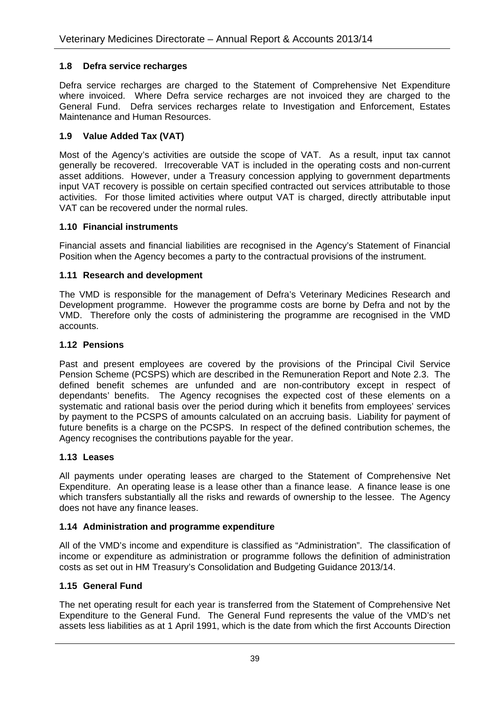#### **1.8 Defra service recharges**

Defra service recharges are charged to the Statement of Comprehensive Net Expenditure where invoiced. Where Defra service recharges are not invoiced they are charged to the General Fund. Defra services recharges relate to Investigation and Enforcement, Estates Maintenance and Human Resources.

#### **1.9 Value Added Tax (VAT)**

Most of the Agency's activities are outside the scope of VAT. As a result, input tax cannot generally be recovered. Irrecoverable VAT is included in the operating costs and non-current asset additions. However, under a Treasury concession applying to government departments input VAT recovery is possible on certain specified contracted out services attributable to those activities. For those limited activities where output VAT is charged, directly attributable input VAT can be recovered under the normal rules.

#### **1.10 Financial instruments**

Financial assets and financial liabilities are recognised in the Agency's Statement of Financial Position when the Agency becomes a party to the contractual provisions of the instrument.

#### **1.11 Research and development**

The VMD is responsible for the management of Defra's Veterinary Medicines Research and Development programme. However the programme costs are borne by Defra and not by the VMD. Therefore only the costs of administering the programme are recognised in the VMD accounts.

#### **1.12 Pensions**

Past and present employees are covered by the provisions of the Principal Civil Service Pension Scheme (PCSPS) which are described in the Remuneration Report and Note 2.3. The defined benefit schemes are unfunded and are non-contributory except in respect of dependants' benefits. The Agency recognises the expected cost of these elements on a systematic and rational basis over the period during which it benefits from employees' services by payment to the PCSPS of amounts calculated on an accruing basis. Liability for payment of future benefits is a charge on the PCSPS. In respect of the defined contribution schemes, the Agency recognises the contributions payable for the year.

#### **1.13 Leases**

All payments under operating leases are charged to the Statement of Comprehensive Net Expenditure. An operating lease is a lease other than a finance lease. A finance lease is one which transfers substantially all the risks and rewards of ownership to the lessee. The Agency does not have any finance leases.

#### **1.14 Administration and programme expenditure**

All of the VMD's income and expenditure is classified as "Administration". The classification of income or expenditure as administration or programme follows the definition of administration costs as set out in HM Treasury's Consolidation and Budgeting Guidance 2013/14.

#### **1.15 General Fund**

The net operating result for each year is transferred from the Statement of Comprehensive Net Expenditure to the General Fund. The General Fund represents the value of the VMD's net assets less liabilities as at 1 April 1991, which is the date from which the first Accounts Direction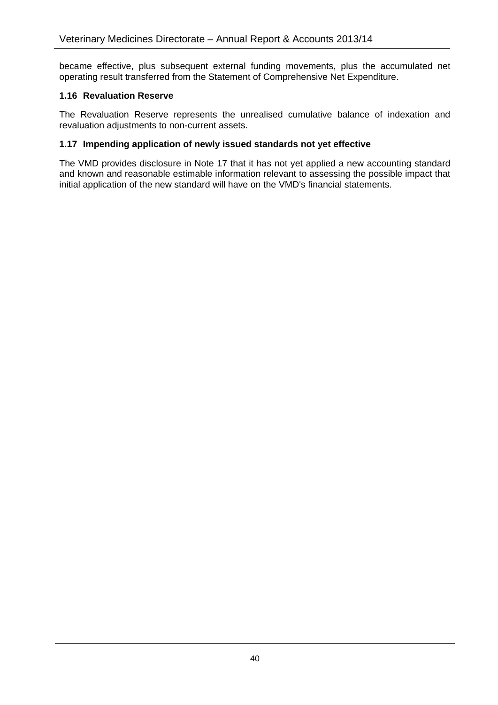became effective, plus subsequent external funding movements, plus the accumulated net operating result transferred from the Statement of Comprehensive Net Expenditure.

#### **1.16 Revaluation Reserve**

The Revaluation Reserve represents the unrealised cumulative balance of indexation and revaluation adjustments to non-current assets.

#### **1.17 Impending application of newly issued standards not yet effective**

The VMD provides disclosure in Note 17 that it has not yet applied a new accounting standard and known and reasonable estimable information relevant to assessing the possible impact that initial application of the new standard will have on the VMD's financial statements.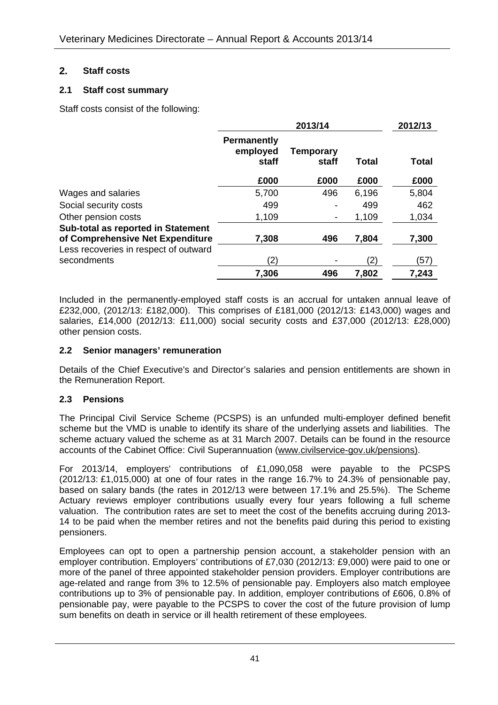#### **2. Staff costs**

#### **2.1 Staff cost summary**

Staff costs consist of the following:

|                                       | 2013/14                                 |                          |       | 2012/13 |  |
|---------------------------------------|-----------------------------------------|--------------------------|-------|---------|--|
|                                       | <b>Permanently</b><br>employed<br>staff | Temporary<br>staff       | Total | Total   |  |
|                                       | £000                                    | £000                     | £000  | £000    |  |
| Wages and salaries                    | 5,700                                   | 496                      | 6,196 | 5,804   |  |
| Social security costs                 | 499                                     |                          | 499   | 462     |  |
| Other pension costs                   | 1,109                                   | $\overline{\phantom{a}}$ | 1,109 | 1,034   |  |
| Sub-total as reported in Statement    |                                         |                          |       |         |  |
| of Comprehensive Net Expenditure      | 7,308                                   | 496                      | 7,804 | 7,300   |  |
| Less recoveries in respect of outward |                                         |                          |       |         |  |
| secondments                           | (2)                                     |                          | (2)   | (57)    |  |
|                                       | 7,306                                   | 496                      | 7,802 | 7,243   |  |

Included in the permanently-employed staff costs is an accrual for untaken annual leave of £232,000, (2012/13: £182,000). This comprises of £181,000 (2012/13: £143,000) wages and salaries, £14,000 (2012/13: £11,000) social security costs and £37,000 (2012/13: £28,000) other pension costs.

#### **2.2 Senior managers' remuneration**

Details of the Chief Executive's and Director's salaries and pension entitlements are shown in the Remuneration Report.

#### **2.3 Pensions**

The Principal Civil Service Scheme (PCSPS) is an unfunded multi-employer defined benefit scheme but the VMD is unable to identify its share of the underlying assets and liabilities. The scheme actuary valued the scheme as at 31 March 2007. Details can be found in the resource accounts of the Cabinet Office: Civil Superannuation (www.civilservice-gov.uk/pensions).

For 2013/14, employers' contributions of £1,090,058 were payable to the PCSPS (2012/13: £1,015,000) at one of four rates in the range 16.7% to 24.3% of pensionable pay, based on salary bands (the rates in 2012/13 were between 17.1% and 25.5%). The Scheme Actuary reviews employer contributions usually every four years following a full scheme valuation. The contribution rates are set to meet the cost of the benefits accruing during 2013- 14 to be paid when the member retires and not the benefits paid during this period to existing pensioners.

Employees can opt to open a partnership pension account, a stakeholder pension with an employer contribution. Employers' contributions of £7,030 (2012/13: £9,000) were paid to one or more of the panel of three appointed stakeholder pension providers. Employer contributions are age-related and range from 3% to 12.5% of pensionable pay. Employers also match employee contributions up to 3% of pensionable pay. In addition, employer contributions of £606, 0.8% of pensionable pay, were payable to the PCSPS to cover the cost of the future provision of lump sum benefits on death in service or ill health retirement of these employees.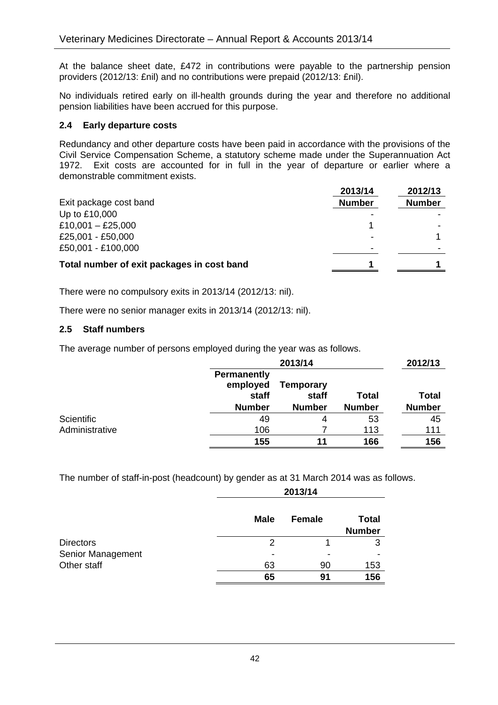At the balance sheet date, £472 in contributions were payable to the partnership pension providers (2012/13: £nil) and no contributions were prepaid (2012/13: £nil).

No individuals retired early on ill-health grounds during the year and therefore no additional pension liabilities have been accrued for this purpose.

#### **2.4 Early departure costs**

Redundancy and other departure costs have been paid in accordance with the provisions of the Civil Service Compensation Scheme, a statutory scheme made under the Superannuation Act 1972. Exit costs are accounted for in full in the year of departure or earlier where a demonstrable commitment exists.

|                                            | 2013/14        | 2012/13       |
|--------------------------------------------|----------------|---------------|
| Exit package cost band                     | <b>Number</b>  | <b>Number</b> |
| Up to £10,000                              |                |               |
| £10,001 - £25,000                          |                |               |
| £25,001 - £50,000                          | $\blacksquare$ |               |
| £50,001 - £100,000                         | $\,$           |               |
| Total number of exit packages in cost band |                |               |

There were no compulsory exits in 2013/14 (2012/13: nil).

There were no senior manager exits in 2013/14 (2012/13: nil).

#### **2.5 Staff numbers**

The average number of persons employed during the year was as follows.

|                |                                                          | 2013/14                                    |                               | 2012/13                       |
|----------------|----------------------------------------------------------|--------------------------------------------|-------------------------------|-------------------------------|
|                | <b>Permanently</b><br>employed<br>staff<br><b>Number</b> | <b>Temporary</b><br>staff<br><b>Number</b> | <b>Total</b><br><b>Number</b> | <b>Total</b><br><b>Number</b> |
| Scientific     | 49                                                       | 4                                          | 53                            | 45                            |
| Administrative | 106                                                      |                                            | 113                           | 111                           |
|                | 155                                                      | 11                                         | 166                           | 156                           |

The number of staff-in-post (headcount) by gender as at 31 March 2014 was as follows.

|                   |                          | 2013/14       |                               |  |  |
|-------------------|--------------------------|---------------|-------------------------------|--|--|
|                   | <b>Male</b>              | <b>Female</b> | <b>Total</b><br><b>Number</b> |  |  |
| <b>Directors</b>  | 2                        |               | 3                             |  |  |
| Senior Management | $\overline{\phantom{0}}$ |               |                               |  |  |
| Other staff       | 63                       | 90            | 153                           |  |  |
|                   | 65                       | 91            | 156                           |  |  |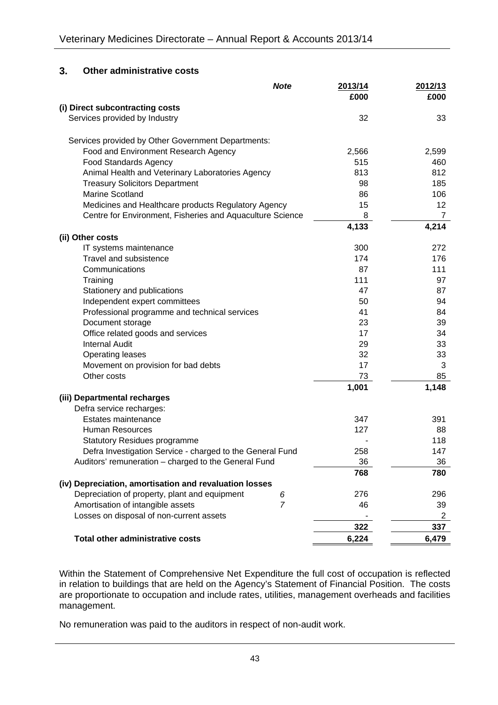#### **3. Other administrative costs**

|                                                           | <b>Note</b>    | 2013/14<br>£000 | 2012/13<br>£000 |
|-----------------------------------------------------------|----------------|-----------------|-----------------|
| (i) Direct subcontracting costs                           |                |                 |                 |
| Services provided by Industry                             |                | 32              | 33              |
| Services provided by Other Government Departments:        |                |                 |                 |
| Food and Environment Research Agency                      |                | 2,566           | 2,599           |
| <b>Food Standards Agency</b>                              |                | 515             | 460             |
| Animal Health and Veterinary Laboratories Agency          |                | 813             | 812             |
| <b>Treasury Solicitors Department</b>                     |                | 98              | 185             |
| <b>Marine Scotland</b>                                    |                | 86              | 106             |
| Medicines and Healthcare products Regulatory Agency       |                | 15              | 12              |
| Centre for Environment, Fisheries and Aquaculture Science |                | 8               | $\overline{7}$  |
|                                                           |                | 4,133           | 4,214           |
| (ii) Other costs                                          |                | 300             | 272             |
| IT systems maintenance<br>Travel and subsistence          |                | 174             | 176             |
| Communications                                            |                | 87              | 111             |
| Training                                                  |                | 111             | 97              |
| Stationery and publications                               |                | 47              | 87              |
| Independent expert committees                             |                | 50              | 94              |
| Professional programme and technical services             |                | 41              | 84              |
| Document storage                                          |                | 23              | 39              |
| Office related goods and services                         |                | 17              | 34              |
| <b>Internal Audit</b>                                     |                | 29              | 33              |
| <b>Operating leases</b>                                   |                | 32              | 33              |
| Movement on provision for bad debts                       |                | 17              | 3               |
| Other costs                                               |                | 73              | 85              |
|                                                           |                | 1,001           | 1,148           |
| (iii) Departmental recharges                              |                |                 |                 |
| Defra service recharges:                                  |                |                 |                 |
| Estates maintenance                                       |                | 347             | 391             |
| <b>Human Resources</b>                                    |                | 127             | 88              |
| <b>Statutory Residues programme</b>                       |                |                 | 118             |
| Defra Investigation Service - charged to the General Fund |                | 258             | 147             |
| Auditors' remuneration - charged to the General Fund      |                | 36              | 36              |
|                                                           |                | 768             | 780             |
| (iv) Depreciation, amortisation and revaluation losses    |                |                 |                 |
| Depreciation of property, plant and equipment             | 6              | 276             | 296             |
| Amortisation of intangible assets                         | $\overline{7}$ | 46              | 39              |
| Losses on disposal of non-current assets                  |                |                 | $\overline{2}$  |
|                                                           |                | 322             | 337             |
| <b>Total other administrative costs</b>                   |                | 6,224           | 6,479           |

Within the Statement of Comprehensive Net Expenditure the full cost of occupation is reflected in relation to buildings that are held on the Agency's Statement of Financial Position. The costs are proportionate to occupation and include rates, utilities, management overheads and facilities management.

No remuneration was paid to the auditors in respect of non-audit work.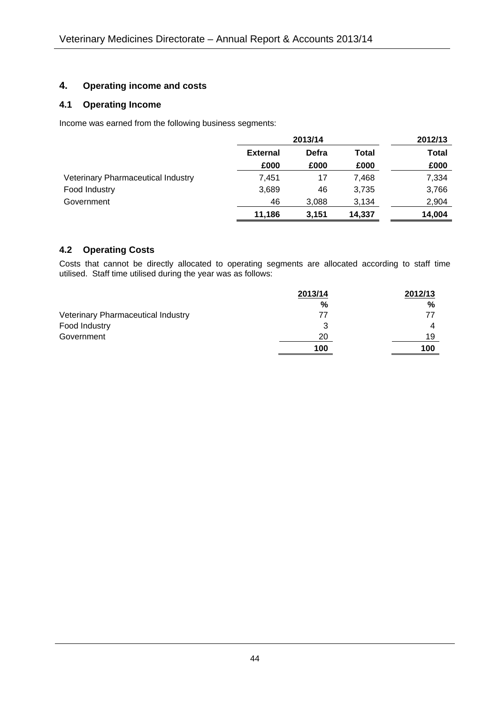#### **4. Operating income and costs**

#### **4.1 Operating Income**

Income was earned from the following business segments:

|                                    | 2013/14                           |       | 2012/13 |        |
|------------------------------------|-----------------------------------|-------|---------|--------|
|                                    | Defra<br><b>External</b><br>Total |       | Total   |        |
|                                    | £000                              | £000  | £000    | £000   |
| Veterinary Pharmaceutical Industry | 7.451                             | 17    | 7.468   | 7,334  |
| Food Industry                      | 3,689                             | 46    | 3,735   | 3,766  |
| Government                         | 46                                | 3,088 | 3,134   | 2,904  |
|                                    | 11.186                            | 3.151 | 14.337  | 14.004 |

#### **4.2 Operating Costs**

Costs that cannot be directly allocated to operating segments are allocated according to staff time utilised. Staff time utilised during the year was as follows:

|                                    | 2013/14 | 2012/13 |
|------------------------------------|---------|---------|
|                                    | %       | %       |
| Veterinary Pharmaceutical Industry | 77      | 77      |
| Food Industry                      | 3       | 4       |
| Government                         | 20      | 19      |
|                                    | 100     | 100     |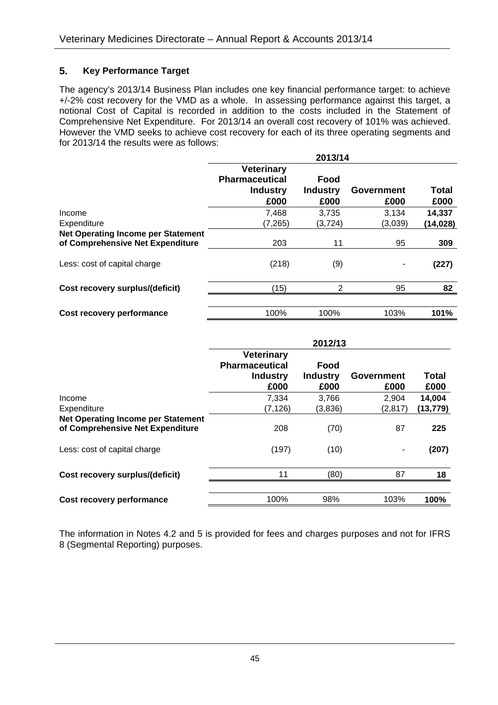#### **5. Key Performance Target**

The agency's 2013/14 Business Plan includes one key financial performance target: to achieve +/-2% cost recovery for the VMD as a whole. In assessing performance against this target, a notional Cost of Capital is recorded in addition to the costs included in the Statement of Comprehensive Net Expenditure. For 2013/14 an overall cost recovery of 101% was achieved. However the VMD seeks to achieve cost recovery for each of its three operating segments and for 2013/14 the results were as follows:

|                                                                               | 2013/14                                                               |                                 |                           |               |  |
|-------------------------------------------------------------------------------|-----------------------------------------------------------------------|---------------------------------|---------------------------|---------------|--|
|                                                                               | <b>Veterinary</b><br><b>Pharmaceutical</b><br><b>Industry</b><br>£000 | Food<br><b>Industry</b><br>£000 | <b>Government</b><br>£000 | Total<br>£000 |  |
| Income                                                                        | 7,468                                                                 | 3,735                           | 3,134                     | 14,337        |  |
| Expenditure                                                                   | (7, 265)                                                              | (3,724)                         | (3,039)                   | (14,028)      |  |
| <b>Net Operating Income per Statement</b><br>of Comprehensive Net Expenditure | 203                                                                   | 11                              | 95                        | 309           |  |
| Less: cost of capital charge                                                  | (218)                                                                 | (9)                             |                           | (227)         |  |
| Cost recovery surplus/(deficit)                                               | (15)                                                                  | 2                               | 95                        | 82            |  |
| Cost recovery performance                                                     | 100%                                                                  | 100%                            | 103%                      | 101%          |  |

|                                                                               | 2012/13                                                               |                                 |                    |               |  |  |
|-------------------------------------------------------------------------------|-----------------------------------------------------------------------|---------------------------------|--------------------|---------------|--|--|
|                                                                               | <b>Veterinary</b><br><b>Pharmaceutical</b><br><b>Industry</b><br>£000 | Food<br><b>Industry</b><br>£000 | Government<br>£000 | Total<br>£000 |  |  |
| Income                                                                        | 7,334                                                                 | 3,766                           | 2,904              | 14,004        |  |  |
| Expenditure                                                                   | (7, 126)                                                              | (3,836)                         | (2, 817)           | (13,779)      |  |  |
| <b>Net Operating Income per Statement</b><br>of Comprehensive Net Expenditure | 208                                                                   | (70)                            | 87                 | 225           |  |  |
| Less: cost of capital charge                                                  | (197)                                                                 | (10)                            |                    | (207)         |  |  |
| Cost recovery surplus/(deficit)                                               | 11                                                                    | (80)                            | 87                 | 18            |  |  |
| Cost recovery performance                                                     | 100%                                                                  | 98%                             | 103%               | 100%          |  |  |

The information in Notes 4.2 and 5 is provided for fees and charges purposes and not for IFRS 8 (Segmental Reporting) purposes.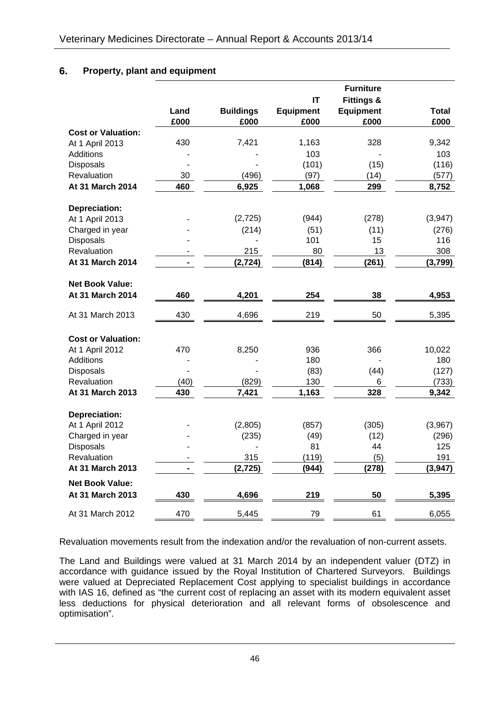#### **6. Property, plant and equipment**

|                           | Land<br>£000 | <b>Buildings</b><br>£000 | IT<br><b>Equipment</b><br>£000 | <b>Furniture</b><br><b>Fittings &amp;</b><br><b>Equipment</b><br>£000 | <b>Total</b><br>£000 |
|---------------------------|--------------|--------------------------|--------------------------------|-----------------------------------------------------------------------|----------------------|
| <b>Cost or Valuation:</b> |              |                          |                                |                                                                       |                      |
| At 1 April 2013           | 430          | 7,421                    | 1,163                          | 328                                                                   | 9,342                |
| <b>Additions</b>          |              |                          | 103                            |                                                                       | 103                  |
| <b>Disposals</b>          |              |                          | (101)                          | (15)                                                                  | (116)                |
| Revaluation               | 30           | (496)                    | (97)                           | (14)                                                                  | (577)                |
| At 31 March 2014          | 460          | 6,925                    | 1,068                          | 299                                                                   | 8,752                |
| Depreciation:             |              |                          |                                |                                                                       |                      |
| At 1 April 2013           |              | (2, 725)                 | (944)                          | (278)                                                                 | (3,947)              |
| Charged in year           |              | (214)                    | (51)                           | (11)                                                                  | (276)                |
| Disposals                 |              |                          | 101                            | 15                                                                    | 116                  |
| Revaluation               |              | 215                      | 80                             | 13                                                                    | 308                  |
| At 31 March 2014          |              | (2, 724)                 | (814)                          | (261)                                                                 | (3,799)              |
| <b>Net Book Value:</b>    |              |                          |                                |                                                                       |                      |
| At 31 March 2014          | 460          | 4,201                    | 254                            | 38                                                                    | 4,953                |
| At 31 March 2013          | 430          | 4,696                    | 219                            | 50                                                                    | 5,395                |
| <b>Cost or Valuation:</b> |              |                          |                                |                                                                       |                      |
| At 1 April 2012           | 470          | 8,250                    | 936                            | 366                                                                   | 10,022               |
| Additions                 |              |                          | 180                            |                                                                       | 180                  |
| Disposals                 |              |                          | (83)                           | (44)                                                                  | (127)                |
| <b>Revaluation</b>        | (40)         | (829)                    | 130                            | 6                                                                     | (733)                |
| At 31 March 2013          | 430          | 7,421                    | 1,163                          | 328                                                                   | 9,342                |
| Depreciation:             |              |                          |                                |                                                                       |                      |
| At 1 April 2012           |              | (2,805)                  | (857)                          | (305)                                                                 | (3,967)              |
| Charged in year           |              | (235)                    | (49)                           | (12)                                                                  | (296)                |
| <b>Disposals</b>          |              |                          | 81                             | 44                                                                    | 125                  |
| Revaluation               |              | 315                      | (119)                          | (5)                                                                   | 191                  |
| At 31 March 2013          |              | (2, 725)                 | (944)                          | (278)                                                                 | (3,947)              |
| <b>Net Book Value:</b>    |              |                          |                                |                                                                       |                      |
| At 31 March 2013          | 430          | 4,696                    | 219                            | 50                                                                    | 5,395                |
| At 31 March 2012          | 470          | 5,445                    | 79                             | 61                                                                    | 6,055                |

Revaluation movements result from the indexation and/or the revaluation of non-current assets.

The Land and Buildings were valued at 31 March 2014 by an independent valuer (DTZ) in accordance with guidance issued by the Royal Institution of Chartered Surveyors. Buildings were valued at Depreciated Replacement Cost applying to specialist buildings in accordance with IAS 16, defined as "the current cost of replacing an asset with its modern equivalent asset less deductions for physical deterioration and all relevant forms of obsolescence and optimisation".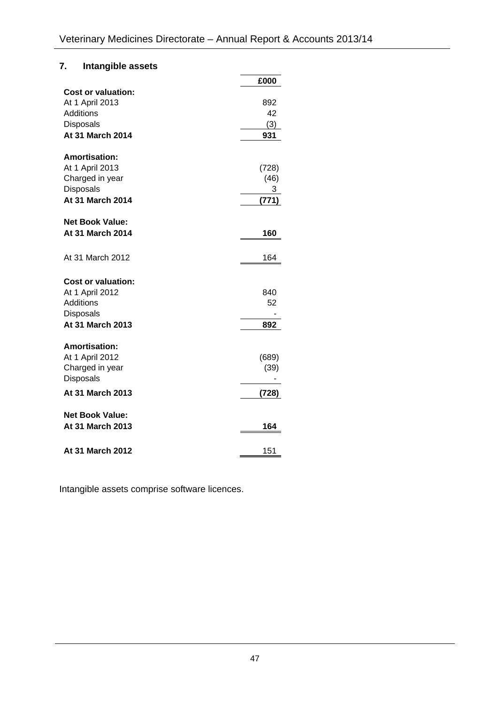### **7. Intangible assets**

|                                                                                                          | £000                        |
|----------------------------------------------------------------------------------------------------------|-----------------------------|
| <b>Cost or valuation:</b><br>At 1 April 2013<br><b>Additions</b><br><b>Disposals</b><br>At 31 March 2014 | 892<br>42<br>(3)<br>931     |
| <b>Amortisation:</b><br>At 1 April 2013<br>Charged in year<br><b>Disposals</b><br>At 31 March 2014       | (728)<br>(46)<br>3<br>(771) |
| <b>Net Book Value:</b><br>At 31 March 2014                                                               | 160                         |
| At 31 March 2012                                                                                         | 164                         |
| <b>Cost or valuation:</b><br>At 1 April 2012<br><b>Additions</b><br>Disposals<br>At 31 March 2013        | 840<br>52<br>892            |
| <b>Amortisation:</b><br>At 1 April 2012<br>Charged in year<br>Disposals                                  | (689)<br>(39)               |
| At 31 March 2013                                                                                         | (728)                       |
| <b>Net Book Value:</b><br>At 31 March 2013                                                               | 164                         |
| At 31 March 2012                                                                                         | 151                         |

Intangible assets comprise software licences.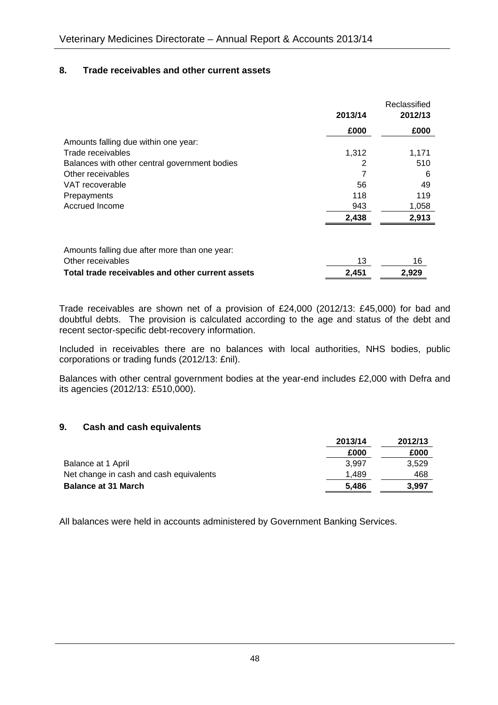#### **8. Trade receivables and other current assets**

|                                                                    | 2013/14 | Reclassified<br>2012/13 |
|--------------------------------------------------------------------|---------|-------------------------|
|                                                                    | £000    | £000                    |
| Amounts falling due within one year:                               |         |                         |
| Trade receivables                                                  | 1,312   | 1,171                   |
| Balances with other central government bodies                      | 2       | 510                     |
| Other receivables                                                  |         | 6                       |
| VAT recoverable                                                    | 56      | 49                      |
| Prepayments                                                        | 118     | 119                     |
| Accrued Income                                                     | 943     | 1,058                   |
|                                                                    | 2,438   | 2,913                   |
| Amounts falling due after more than one year:<br>Other receivables | 13      | 16                      |

| Trade receivables are shown net of a provision of £24,000 (2012/13: £45,000) for bad and |  |  |  |  |  |  |  |
|------------------------------------------------------------------------------------------|--|--|--|--|--|--|--|

**Total trade receivables and other current assets 2,451 2,929**

doubtful debts. The provision is calculated according to the age and status of the debt and recent sector-specific debt-recovery information.

Included in receivables there are no balances with local authorities, NHS bodies, public corporations or trading funds (2012/13: £nil).

Balances with other central government bodies at the year-end includes £2,000 with Defra and its agencies (2012/13: £510,000).

#### **9. Cash and cash equivalents**

|                                         | 2013/14 | 2012/13 |
|-----------------------------------------|---------|---------|
|                                         | £000    | £000    |
| Balance at 1 April                      | 3.997   | 3.529   |
| Net change in cash and cash equivalents | 1.489   | 468     |
| <b>Balance at 31 March</b>              | 5.486   | 3.997   |

All balances were held in accounts administered by Government Banking Services.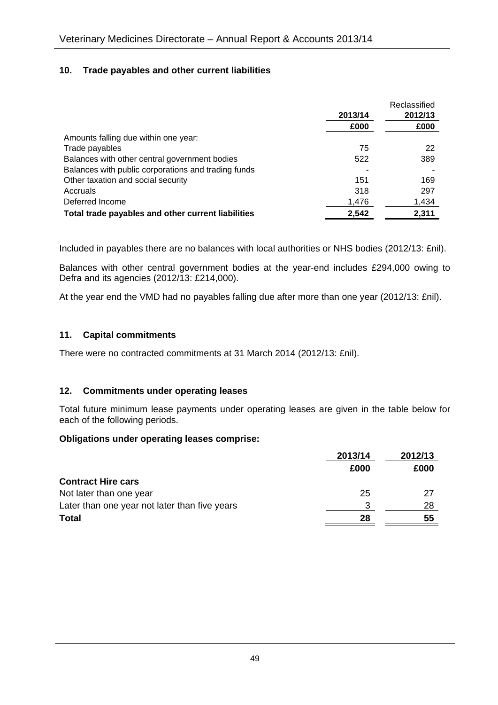#### **10. Trade payables and other current liabilities**

|                                                     |         | Reclassified |
|-----------------------------------------------------|---------|--------------|
|                                                     | 2013/14 | 2012/13      |
|                                                     | £000    | £000         |
| Amounts falling due within one year:                |         |              |
| Trade payables                                      | 75      | 22           |
| Balances with other central government bodies       | 522     | 389          |
| Balances with public corporations and trading funds |         |              |
| Other taxation and social security                  | 151     | 169          |
| Accruals                                            | 318     | 297          |
| Deferred Income                                     | 1,476   | 1,434        |
| Total trade payables and other current liabilities  | 2,542   | 2.311        |

Included in payables there are no balances with local authorities or NHS bodies (2012/13: £nil).

Balances with other central government bodies at the year-end includes £294,000 owing to Defra and its agencies (2012/13: £214,000).

At the year end the VMD had no payables falling due after more than one year (2012/13: £nil).

#### **11. Capital commitments**

There were no contracted commitments at 31 March 2014 (2012/13: £nil).

#### **12. Commitments under operating leases**

Total future minimum lease payments under operating leases are given in the table below for each of the following periods.

#### **Obligations under operating leases comprise:**

|                                               | 2013/14 | 2012/13 |
|-----------------------------------------------|---------|---------|
|                                               | £000    | £000    |
| <b>Contract Hire cars</b>                     |         |         |
| Not later than one year                       | 25      | 27      |
| Later than one year not later than five years | 3       | 28      |
| <b>Total</b>                                  | 28      | 55      |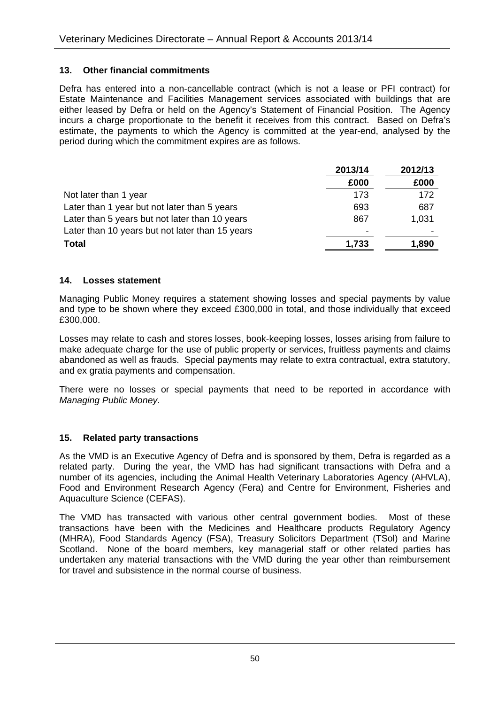#### **13. Other financial commitments**

Defra has entered into a non-cancellable contract (which is not a lease or PFI contract) for Estate Maintenance and Facilities Management services associated with buildings that are either leased by Defra or held on the Agency's Statement of Financial Position. The Agency incurs a charge proportionate to the benefit it receives from this contract. Based on Defra's estimate, the payments to which the Agency is committed at the year-end, analysed by the period during which the commitment expires are as follows.

|                                                 | 2013/14 | 2012/13 |
|-------------------------------------------------|---------|---------|
|                                                 | £000    | £000    |
| Not later than 1 year                           | 173     | 172     |
| Later than 1 year but not later than 5 years    | 693     | 687     |
| Later than 5 years but not later than 10 years  | 867     | 1,031   |
| Later than 10 years but not later than 15 years |         |         |
| <b>Total</b>                                    | 1,733   | 1,890   |

#### **14. Losses statement**

Managing Public Money requires a statement showing losses and special payments by value and type to be shown where they exceed £300,000 in total, and those individually that exceed £300,000.

Losses may relate to cash and stores losses, book-keeping losses, losses arising from failure to make adequate charge for the use of public property or services, fruitless payments and claims abandoned as well as frauds. Special payments may relate to extra contractual, extra statutory, and ex gratia payments and compensation.

There were no losses or special payments that need to be reported in accordance with *Managing Public Money*.

#### **15. Related party transactions**

As the VMD is an Executive Agency of Defra and is sponsored by them, Defra is regarded as a related party. During the year, the VMD has had significant transactions with Defra and a number of its agencies, including the Animal Health Veterinary Laboratories Agency (AHVLA), Food and Environment Research Agency (Fera) and Centre for Environment, Fisheries and Aquaculture Science (CEFAS).

The VMD has transacted with various other central government bodies. Most of these transactions have been with the Medicines and Healthcare products Regulatory Agency (MHRA), Food Standards Agency (FSA), Treasury Solicitors Department (TSol) and Marine Scotland. None of the board members, key managerial staff or other related parties has undertaken any material transactions with the VMD during the year other than reimbursement for travel and subsistence in the normal course of business.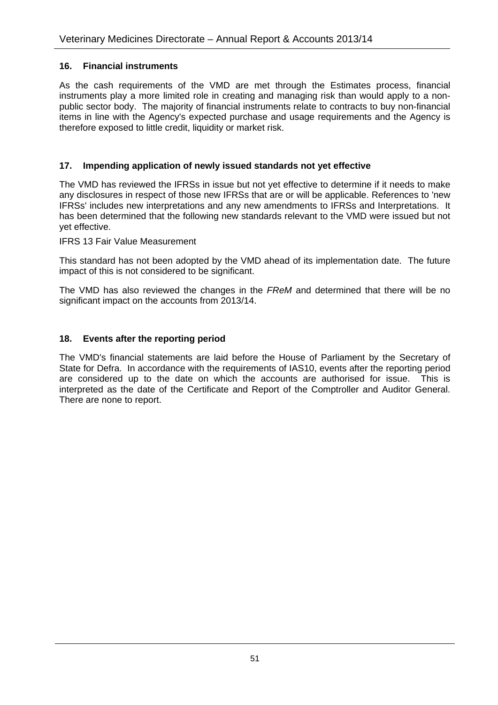#### **16. Financial instruments**

As the cash requirements of the VMD are met through the Estimates process, financial instruments play a more limited role in creating and managing risk than would apply to a nonpublic sector body. The majority of financial instruments relate to contracts to buy non-financial items in line with the Agency's expected purchase and usage requirements and the Agency is therefore exposed to little credit, liquidity or market risk.

#### **17. Impending application of newly issued standards not yet effective**

The VMD has reviewed the IFRSs in issue but not yet effective to determine if it needs to make any disclosures in respect of those new IFRSs that are or will be applicable. References to 'new IFRSs' includes new interpretations and any new amendments to IFRSs and Interpretations. It has been determined that the following new standards relevant to the VMD were issued but not yet effective.

IFRS 13 Fair Value Measurement

This standard has not been adopted by the VMD ahead of its implementation date. The future impact of this is not considered to be significant.

The VMD has also reviewed the changes in the *FReM* and determined that there will be no significant impact on the accounts from 2013/14.

#### **18. Events after the reporting period**

The VMD's financial statements are laid before the House of Parliament by the Secretary of State for Defra. In accordance with the requirements of IAS10, events after the reporting period are considered up to the date on which the accounts are authorised for issue. This is interpreted as the date of the Certificate and Report of the Comptroller and Auditor General. There are none to report.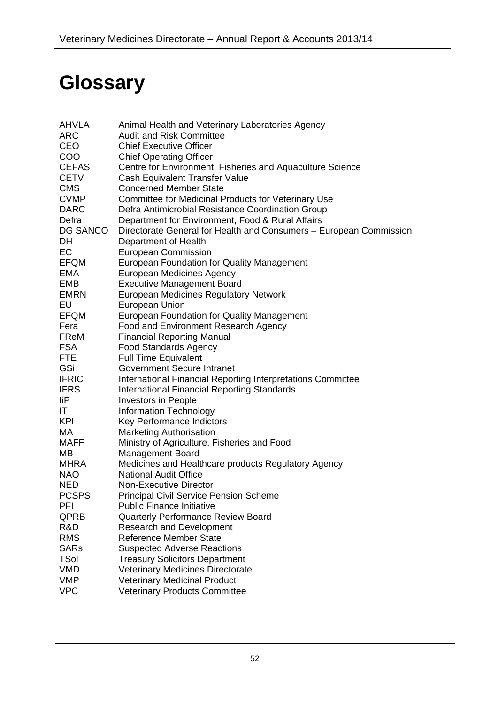# **Glossary**

| <b>AHVLA</b> | Animal Health and Veterinary Laboratories Agency                   |
|--------------|--------------------------------------------------------------------|
| <b>ARC</b>   | <b>Audit and Risk Committee</b>                                    |
| <b>CEO</b>   | <b>Chief Executive Officer</b>                                     |
| <b>COO</b>   | <b>Chief Operating Officer</b>                                     |
| <b>CEFAS</b> | Centre for Environment, Fisheries and Aquaculture Science          |
| <b>CETV</b>  | Cash Equivalent Transfer Value                                     |
| <b>CMS</b>   | <b>Concerned Member State</b>                                      |
| <b>CVMP</b>  | Committee for Medicinal Products for Veterinary Use                |
| <b>DARC</b>  | Defra Antimicrobial Resistance Coordination Group                  |
| Defra        | Department for Environment, Food & Rural Affairs                   |
| DG SANCO     | Directorate General for Health and Consumers - European Commission |
| DH.          | Department of Health                                               |
| EC           | <b>European Commission</b>                                         |
| EFQM         | European Foundation for Quality Management                         |
| EMA          | <b>European Medicines Agency</b>                                   |
| EMB          | <b>Executive Management Board</b>                                  |
| EMRN         | <b>European Medicines Regulatory Network</b>                       |
| EU           | <b>European Union</b>                                              |
| EFQM         | European Foundation for Quality Management                         |
| Fera         | Food and Environment Research Agency                               |
| FReM         | <b>Financial Reporting Manual</b>                                  |
| <b>FSA</b>   | <b>Food Standards Agency</b>                                       |
| <b>FTE</b>   | <b>Full Time Equivalent</b>                                        |
| GSi          | <b>Government Secure Intranet</b>                                  |
| <b>IFRIC</b> | International Financial Reporting Interpretations Committee        |
| <b>IFRS</b>  | <b>International Financial Reporting Standards</b>                 |
| liP          | Investors in People                                                |
| IT.          | Information Technology                                             |
| <b>KPI</b>   | Key Performance Indictors                                          |
| MA           | <b>Marketing Authorisation</b>                                     |
| <b>MAFF</b>  | Ministry of Agriculture, Fisheries and Food                        |
| MВ           | <b>Management Board</b>                                            |
| MHRA         | Medicines and Healthcare products Regulatory Agency                |
| <b>NAO</b>   | <b>National Audit Office</b>                                       |
| <b>NED</b>   | Non-Executive Director                                             |
| <b>PCSPS</b> | <b>Principal Civil Service Pension Scheme</b>                      |
| PFI          | <b>Public Finance Initiative</b>                                   |
| QPRB         | Quarterly Performance Review Board                                 |
| R&D          | <b>Research and Development</b>                                    |
| <b>RMS</b>   | <b>Reference Member State</b>                                      |
| <b>SARs</b>  | <b>Suspected Adverse Reactions</b>                                 |
| <b>TSol</b>  | <b>Treasury Solicitors Department</b>                              |
| <b>VMD</b>   | <b>Veterinary Medicines Directorate</b>                            |
| <b>VMP</b>   | <b>Veterinary Medicinal Product</b>                                |
| <b>VPC</b>   | <b>Veterinary Products Committee</b>                               |
|              |                                                                    |